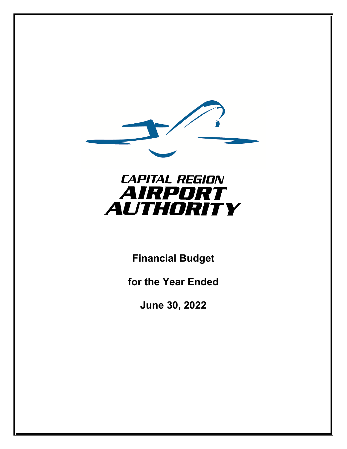

# **CAPITAL REGION** AIRPORT **AUTHORITY**

**Financial Budget** 

**for the Year Ended** 

**June 30, 2022**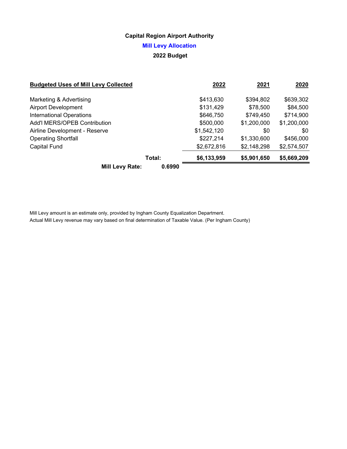### **Mill Levy Allocation**

### **2022 Budget**

| <b>Budgeted Uses of Mill Levy Collected</b> | 2022        | 2021        | 2020        |
|---------------------------------------------|-------------|-------------|-------------|
| Marketing & Advertising                     | \$413,630   | \$394,802   | \$639,302   |
| <b>Airport Development</b>                  | \$131,429   | \$78,500    | \$84,500    |
| <b>International Operations</b>             | \$646,750   | \$749,450   | \$714,900   |
| Add'l MERS/OPEB Contribution                | \$500,000   | \$1,200,000 | \$1,200,000 |
| Airline Development - Reserve               | \$1,542,120 | \$0         | \$0         |
| <b>Operating Shortfall</b>                  | \$227,214   | \$1,330,600 | \$456,000   |
| <b>Capital Fund</b>                         | \$2,672,816 | \$2,148,298 | \$2,574,507 |
| Total:                                      | \$6,133,959 | \$5,901,650 | \$5,669,209 |
| 0.6990<br><b>Mill Levy Rate:</b>            |             |             |             |

Mill Levy amount is an estimate only, provided by Ingham County Equalization Department. Actual Mill Levy revenue may vary based on final determination of Taxable Value. (Per Ingham County)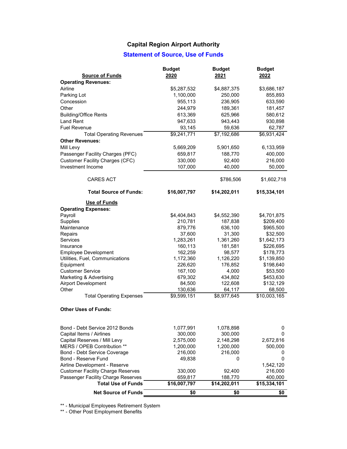### **Statement of Source, Use of Funds**

| <b>Source of Funds</b>                   | <b>Budget</b><br>2020 | <b>Budget</b><br>2021 | <b>Budget</b><br>2022 |
|------------------------------------------|-----------------------|-----------------------|-----------------------|
| <b>Operating Revenues:</b>               |                       |                       |                       |
| Airline                                  | \$5,287,532           | \$4,887,375           | \$3,686,187           |
| Parking Lot                              | 1,100,000             | 250,000               | 855,893               |
| Concession                               | 955,113               | 236,905               | 633,590               |
| Other                                    | 244,979               | 189,361               | 181,457               |
| <b>Building/Office Rents</b>             | 613,369               | 625,966               | 580,612               |
| <b>Land Rent</b>                         | 947,633               | 943,443               | 930,898               |
| <b>Fuel Revenue</b>                      | 93,145                | 59,636                | 62,787                |
| <b>Total Operating Revenues</b>          | \$9,241,771           | \$7,192,686           | \$6,931,424           |
| <b>Other Revenues:</b>                   |                       |                       |                       |
| Mill Levy                                | 5,669,209             | 5,901,650             | 6,133,959             |
|                                          |                       |                       |                       |
| Passenger Facility Charges (PFC)         | 659,817               | 188,770               | 400,000               |
| <b>Customer Facility Charges (CFC)</b>   | 330,000               | 92,400                | 216,000               |
| Investment Income                        | 107,000               | 40,000                | 50,000                |
| <b>CARES ACT</b>                         |                       | \$786,506             | \$1,602,718           |
| <b>Total Source of Funds:</b>            | \$16,007,797          | \$14,202,011          | \$15,334,101          |
| Use of Funds                             |                       |                       |                       |
| <b>Operating Expenses:</b>               |                       |                       |                       |
| Payroll                                  | \$4,404,843           | \$4,552,390           | \$4,701,875           |
| <b>Supplies</b>                          | 210,781               | 187,838               | \$209,400             |
| Maintenance                              | 879,776               | 636,100               | \$965,500             |
| Repairs                                  | 37,600                | 31,300                | \$32,500              |
| <b>Services</b>                          | 1,283,261             | 1,361,260             | \$1,642,173           |
| Insurance                                | 160,113               | 181,581               | \$226,695             |
| <b>Employee Development</b>              | 162,259               | 98,577                | \$178,773             |
| Utilities, Fuel, Communications          | 1,172,360             | 1,126,220             | \$1,139,850           |
| Equipment                                | 226,620               | 176,852               | \$198,640             |
| <b>Customer Service</b>                  | 167,100               | 4,000                 | \$53,500              |
| Marketing & Advertising                  | 679,302               | 434,802               | \$453,630             |
| <b>Airport Development</b>               | 84,500                | 122,608               | \$132,129             |
| Other                                    | 130,636               | 64,117                | 68,500                |
| <b>Total Operating Expenses</b>          | \$9,599,151           | \$8,977,645           | \$10,003,165          |
| <b>Other Uses of Funds:</b>              |                       |                       |                       |
| Bond - Debt Service 2012 Bonds           | 1,077,991             | 1,078,898             | 0                     |
| Capital Items / Airlines                 | 300,000               | 300,000               | 0                     |
| Capital Reserves / Mill Levy             | 2,575,000             | 2,148,298             | 2,672,816             |
| MERS / OPEB Contribution **              | 1,200,000             | 1,200,000             | 500,000               |
| <b>Bond - Debt Service Coverage</b>      | 216,000               | 216,000               | 0                     |
| Bond - Reserve Fund                      | 49,838                | 0                     | 0                     |
| Airline Development - Reserve            |                       |                       | 1,542,120             |
| <b>Customer Facility Charge Reserves</b> | 330,000               | 92,400                | 216,000               |
| Passenger Facility Charge Reserves       | 659,817               | 188,770               | 400,000               |
| <b>Total Use of Funds</b>                | \$16,007,797          | \$14,202,011          | \$15,334,101          |
| <b>Net Source of Funds</b>               | \$0                   | \$0                   | \$0                   |

\*\* - Municipal Employees Retirement System

\*\* - Other Post Employment Benefits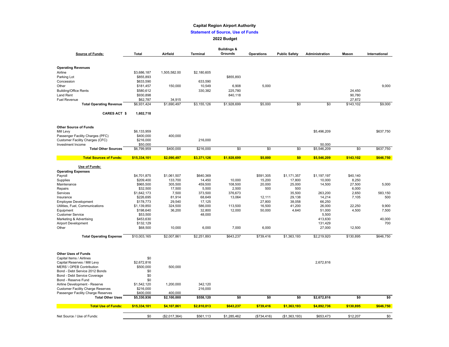#### **Statement of Source, Use of Funds**

#### **2022 Budget**

|                                                               |                          |                        |                   | <b>Buildings &amp;</b> |                   |                      |                |                 |                |
|---------------------------------------------------------------|--------------------------|------------------------|-------------------|------------------------|-------------------|----------------------|----------------|-----------------|----------------|
| <b>Source of Funds:</b>                                       | Total                    | Airfield               | Terminal          | Grounds                | <b>Operations</b> | <b>Public Safety</b> | Administration | Mason           | International  |
|                                                               |                          |                        |                   |                        |                   |                      |                |                 |                |
|                                                               |                          |                        |                   |                        |                   |                      |                |                 |                |
| <b>Operating Revenues</b>                                     |                          |                        |                   |                        |                   |                      |                |                 |                |
| Airline                                                       | \$3,686,187              | 1,505,582.00           | \$2,180,605       |                        |                   |                      |                |                 |                |
| Parking Lot                                                   | \$855,893                |                        |                   | \$855,893              |                   |                      |                |                 |                |
| Concession                                                    | \$633,590                |                        | 633,590           |                        |                   |                      |                |                 |                |
| Other                                                         | \$181,457                | 150,000                | 10,549            | 6,908                  | 5,000             |                      |                |                 | 9,000          |
| <b>Building/Office Rents</b>                                  | \$580,612                |                        | 330,382           | 225,780                |                   |                      |                | 24,450          |                |
| Land Rent                                                     | \$930,898                |                        |                   | 840,118                |                   |                      |                | 90,780          |                |
| <b>Fuel Revenue</b>                                           | \$62,787                 | 34,915                 |                   |                        |                   |                      |                | 27,872          |                |
| <b>Total Operating Revenue</b>                                | \$6,931,424              | \$1,690,497            | \$3,155,126       | \$1,928,699            | \$5,000           | \$0                  | \$0            | \$143,102       | \$9,000        |
| <b>CARES ACT \$</b>                                           | 1,602,718                |                        |                   |                        |                   |                      |                |                 |                |
|                                                               |                          |                        |                   |                        |                   |                      |                |                 |                |
| <b>Other Source of Funds</b>                                  |                          |                        |                   |                        |                   |                      |                |                 |                |
| Mill Levy                                                     | \$6,133,959              |                        |                   |                        |                   |                      | \$5,496,209    |                 | \$637,750      |
| Passenger Facility Charges (PFC)                              | \$400,000                | 400,000                |                   |                        |                   |                      |                |                 |                |
| Customer Facility Charges (CFC)                               | \$216,000                |                        | 216,000           |                        |                   |                      |                |                 |                |
| Investment Income                                             | \$50,000                 |                        |                   |                        |                   |                      | 50,000         |                 |                |
| <b>Total Other Sources</b>                                    | \$6,799,959              | \$400,000              | \$216,000         | \$0                    | \$0               | \$0                  | \$5,546,209    | \$0             | \$637,750      |
| <b>Total Sources of Funds:</b>                                | \$15,334,101             | \$2,090,497            | \$3,371,126       | \$1,928,699            | \$5,000           | \$0                  | \$5,546,209    | \$143,102       | \$646,750      |
| Use of Funds:                                                 |                          |                        |                   |                        |                   |                      |                |                 |                |
| <b>Operating Expenses</b>                                     |                          |                        |                   |                        |                   |                      |                |                 |                |
| Payroll                                                       | \$4,701,875              | \$1,061,507            | \$640,369         |                        | \$591,305         | \$1,171,357          | \$1.197.197    | \$40,140        |                |
| Supplies                                                      | \$209,400                | 133,700                | 14,450            | 10,000                 | 15,200            | 17,800               | 10,000         | 8,250           |                |
| Maintenance                                                   | \$965,500<br>\$32,500    | 305,500<br>17,500      | 459,500<br>5,500  | 108,500<br>2,500       | 20,000<br>500     | 25,000<br>500        | 14,500         | 27,500<br>6,000 | 5,000          |
| Repairs                                                       |                          |                        |                   |                        |                   |                      | 263,200        | 2,650           |                |
| Services<br>Insurance                                         | \$1,642,173<br>\$226,695 | 7,500<br>81,914        | 373,500<br>68,649 | 376,673<br>13,064      | 12,111            | 35,500<br>29,138     | 14,214         | 7,105           | 583,150<br>500 |
|                                                               | \$178,773                | 29,540                 | 17,125            |                        | 27,800            | 38,058               | 66,250         |                 |                |
| <b>Employee Development</b>                                   |                          |                        |                   |                        |                   |                      |                |                 |                |
| Utilities, Fuel, Communications                               | \$1,139,850              | 324,500                | 586,000           | 113,500                | 16,500            | 41,200               | 26,000         | 22,250          | 9,900          |
| Equipment                                                     | \$198,640                | 36,200                 | 32,800            | 12,000                 | 50,000            | 4,640                | 51,000         | 4,500           | 7,500          |
| <b>Customer Service</b>                                       | \$53,500                 |                        | 48,000            |                        |                   |                      | 5,500          |                 |                |
| Marketing & Advertising                                       | \$453,630                |                        |                   |                        |                   |                      | 413,630        |                 | 40,000         |
| Airport Development                                           | \$132,129                |                        |                   |                        |                   |                      | 131,429        |                 | 700            |
| Other                                                         | \$68,500                 | 10,000                 | 6,000             | 7,000                  | 6,000             |                      | 27,000         | 12,500          |                |
| <b>Total Operating Expense</b>                                | \$10,003,165             | \$2,007,861            | \$2,251,893       | \$643,237              | \$739,416         | \$1,363,193          | \$2,219,920    | \$130,895       | \$646,750      |
|                                                               |                          |                        |                   |                        |                   |                      |                |                 |                |
| <b>Other Uses of Funds</b><br>Capital Items / Airlines        | \$0                      |                        |                   |                        |                   |                      |                |                 |                |
|                                                               | \$2,672,816              |                        |                   |                        |                   |                      | 2,672,816      |                 |                |
| Capital Reserves / Mill Levy                                  |                          |                        |                   |                        |                   |                      |                |                 |                |
| MERS \ OPEB Contribution                                      | \$500,000                | 500,000                |                   |                        |                   |                      |                |                 |                |
| Bond - Debt Service 2012 Bonds                                | \$0                      |                        |                   |                        |                   |                      |                |                 |                |
| Bond - Debt Service Coverage                                  | \$0                      |                        |                   |                        |                   |                      |                |                 |                |
| Bond - Reserve Fund                                           | \$0                      |                        |                   |                        |                   |                      |                |                 |                |
| Airline Development - Reserve                                 | \$1,542,120              | 1,200,000              | 342,120           |                        |                   |                      |                |                 |                |
| <b>Customer Facility Charge Reserves</b>                      | \$216,000                |                        | 216,000           |                        |                   |                      |                |                 |                |
| Passenger Facility Charge Reserves<br><b>Total Other Uses</b> | \$400,000<br>\$5,330,936 | 400,000<br>\$2,100,000 | \$558,120         | \$0                    | \$0               | \$0                  | \$2,672,816    | \$0             | \$0            |
| <b>Total Use of Funds:</b>                                    | \$15,334,101             | \$4,107,861            | \$2,810,013       | \$643,237              | \$739,416         | \$1,363,193          | \$4,892,736    | \$130,895       | \$646,750      |
|                                                               |                          |                        |                   |                        |                   |                      |                |                 |                |
| Net Source / Use of Funds:                                    | \$0                      | (\$2,017,364)          | \$561,113         | \$1,285,462            | (\$734,416)       | (\$1,363,193)        | \$653,473      | \$12,207        | \$0            |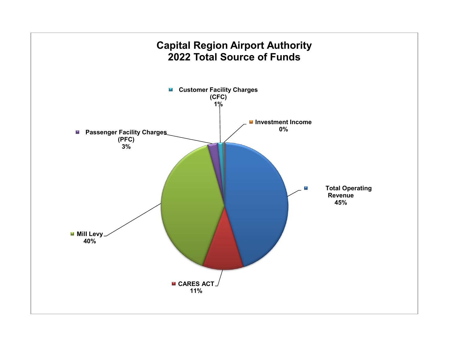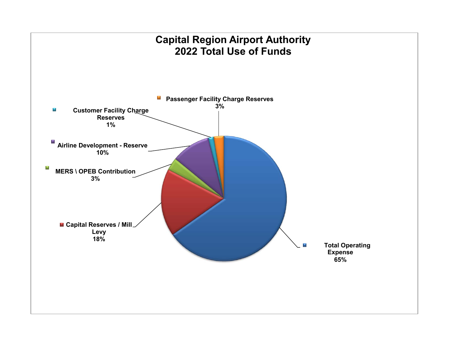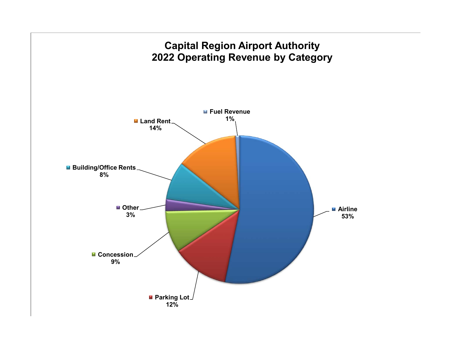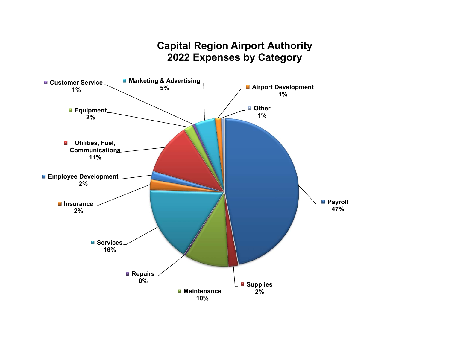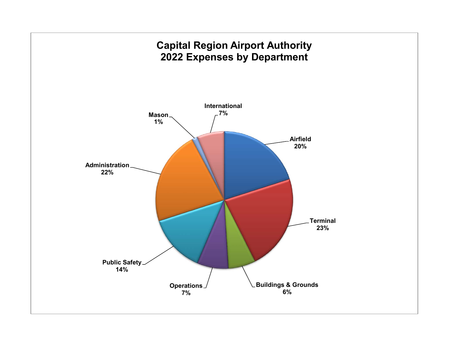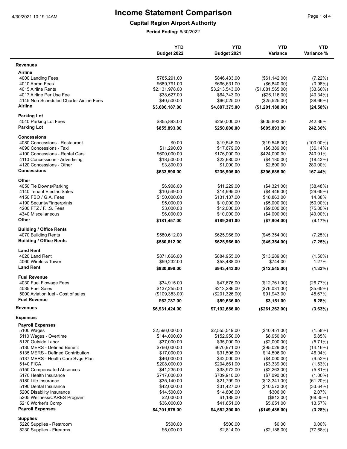**Capital Region Airport Authority**

|                                                       | <b>YTD</b><br>Budget 2022    | <b>YTD</b><br>Budget 2021    | <b>YTD</b><br>Variance         | <b>YTD</b><br>Variance % |
|-------------------------------------------------------|------------------------------|------------------------------|--------------------------------|--------------------------|
| <b>Revenues</b>                                       |                              |                              |                                |                          |
| Airline                                               |                              |                              |                                |                          |
| 4000 Landing Fees                                     | \$785,291.00                 | \$846,433.00                 | $(\$61,142.00)$                | (7.22%)                  |
| 4010 Apron Fees                                       | \$689,791.00                 | \$696,631.00                 | (\$6,840.00)                   | (0.98%)                  |
| 4015 Airline Rents                                    | \$2,131,978.00               | \$3,213,543.00               | (\$1,081,565.00)               | (33.66%)                 |
| 4017 Airline Per Use Fee                              | \$38,627.00                  | \$64,743.00                  | (\$26,116.00)                  | $(40.34\%)$              |
| 4145 Non Scheduled Charter Airline Fees               | \$40,500.00                  | \$66,025.00                  | (\$25,525.00)                  | (38.66%)                 |
| Airline                                               | \$3,686,187.00               | \$4,887,375.00               | (\$1,201,188.00)               | (24.58%)                 |
| <b>Parking Lot</b>                                    |                              |                              |                                |                          |
| 4040 Parking Lot Fees                                 | \$855,893.00                 | \$250,000.00                 | \$605,893.00                   | 242.36%                  |
| <b>Parking Lot</b>                                    | \$855,893.00                 | \$250,000.00                 | \$605,893.00                   | 242.36%                  |
| <b>Concessions</b>                                    |                              |                              |                                |                          |
| 4080 Concessions - Restaurant                         | \$0.00                       | \$19,546.00                  | (\$19,546.00)                  | $(100.00\%)$             |
| 4090 Concessions - Taxi                               | \$11,290.00                  | \$17,679.00                  | (\$6,389.00)                   | (36.14%)                 |
| 4100 Concessions - Rental Cars                        | \$600,000.00                 | \$176,000.00                 | \$424,000.00                   | 240.91%                  |
| 4110 Concessions - Advertising                        | \$18,500.00                  | \$22,680.00                  | (\$4,180.00)                   | (18.43%)                 |
| 4120 Concessions - Other                              | \$3,800.00                   | \$1,000.00                   | \$2,800.00                     | 280.00%                  |
| <b>Concessions</b>                                    | \$633,590.00                 | \$236,905.00                 | \$396,685.00                   | 167.44%                  |
| Other                                                 |                              |                              |                                |                          |
| 4050 Tie Downs/Parking                                | \$6,908.00                   | \$11,229.00                  | (\$4,321.00)                   | (38.48%)                 |
| 4140 Tenant Electric Sales                            | \$10,549.00                  | \$14,995.00                  | (\$4,446.00)                   | (29.65%)                 |
| 4150 FBO / G.A. Fees                                  | \$150,000.00                 | \$131,137.00                 | \$18,863.00                    | 14.38%                   |
| 4190 Security/Fingerprints                            | \$5,000.00                   | \$10,000.00                  | (\$5,000.00)                   | $(50.00\%)$              |
| 4200 FTZ / F.I.S. Fees                                | \$3,000.00                   | \$12,000.00                  | (\$9,000.00)                   | $(75.00\%)$              |
| 4340 Miscellaneous<br>Other                           | \$6,000.00<br>\$181,457.00   | \$10,000.00<br>\$189,361.00  | (\$4,000.00)<br>(\$7,904.00)   | $(40.00\%)$<br>(4.17%)   |
|                                                       |                              |                              |                                |                          |
| <b>Building / Office Rents</b>                        |                              |                              |                                |                          |
| 4070 Building Rents<br><b>Building / Office Rents</b> | \$580,612.00<br>\$580,612.00 | \$625,966.00<br>\$625,966.00 | (\$45,354.00)<br>(\$45,354.00) | (7.25%)<br>(7.25%)       |
|                                                       |                              |                              |                                |                          |
| <b>Land Rent</b><br>4020 Land Rent                    | \$871,666.00                 | \$884,955.00                 | (\$13,289.00)                  | $(1.50\%)$               |
| 4060 Wireless Tower                                   | \$59,232.00                  | \$58,488.00                  | \$744.00                       | 1.27%                    |
| <b>Land Rent</b>                                      | \$930,898.00                 | \$943,443.00                 | (\$12,545.00)                  | (1.33%)                  |
| <b>Fuel Revenue</b>                                   |                              |                              |                                |                          |
| 4030 Fuel Flowage Fees                                | \$34,915.00                  | \$47,676.00                  | (\$12,761.00)                  | (26.77%)                 |
| 4035 Fuel Sales                                       | \$137,255.00                 | \$213,286.00                 | (\$76,031.00)                  | (35.65%)                 |
| 5000 Aviation fuel - Cost of sales                    | (\$109,383.00)               | (\$201,326.00)               | \$91,943.00                    | 45.67%                   |
| <b>Fuel Revenue</b>                                   | \$62,787.00                  | \$59,636.00                  | \$3,151.00                     | 5.28%                    |
| <b>Revenues</b>                                       | \$6,931,424.00               | \$7,192,686.00               | (\$261, 262.00)                | (3.63%)                  |
| <b>Expenses</b>                                       |                              |                              |                                |                          |
| <b>Payroll Expenses</b>                               |                              |                              |                                |                          |
| 5100 Wages                                            | \$2,596,000.00               | \$2,555,549.00               | $(\$40,451.00)$                | (1.58%)                  |
| 5110 Wages - Overtime                                 | \$144,000.00                 | \$152,950.00                 | \$8,950.00                     | 5.85%                    |
| 5120 Outside Labor                                    | \$37,000.00                  | \$35,000.00                  | (\$2,000.00)                   | $(5.71\%)$               |
| 5130 MERS - Defined Benefit                           | \$766,000.00                 | \$670,971.00                 | (\$95,029.00)                  | (14.16%)                 |
| 5135 MERS - Defined Contribution                      | \$17,000.00                  | \$31,506.00                  | \$14,506.00                    | 46.04%                   |
| 5137 MERS - Health Care Svgs Plan                     | \$46,000.00                  | \$42,000.00                  | (\$4,000.00)                   | (9.52%)                  |
| <b>5140 FICA</b>                                      | \$208,000.00                 | \$204,661.00                 | (\$3,339.00)                   | (1.63%)                  |
| 5150 Compensated Absences                             | \$41,235.00                  | \$38,972.00                  | $(\$2,263.00)$                 | $(5.81\%)$               |
| 5170 Health Insurance                                 | \$717,000.00                 | \$709,910.00                 | (\$7,090.00)                   | $(1.00\%)$               |
| 5180 Life Insurance                                   | \$35,140.00                  | \$21,799.00                  | (\$13,341.00)                  | (61.20%)                 |
| 5190 Dental Insurance                                 | \$42,000.00                  | \$31,427.00                  | (\$10,573.00)                  | (33.64%)                 |
| 5200 Disability Insurance                             | \$14,500.00                  | \$14,806.00                  | \$306.00                       | 2.07%                    |
| 5205 Wellness/CARES Program                           | \$2,000.00                   | \$1,188.00                   | (\$812.00)                     | (68.35%)                 |
| 5210 Worker's Comp                                    | \$36,000.00                  | \$41,651.00                  | \$5,651.00                     | 13.57%                   |
| <b>Payroll Expenses</b>                               | \$4,701,875.00               | \$4,552,390.00               | (\$149,485.00)                 | (3.28%)                  |
| <b>Supplies</b>                                       |                              |                              |                                |                          |
| 5220 Supplies - Restroom                              | \$500.00                     | \$500.00                     | \$0.00                         | $0.00\%$                 |
| 5230 Supplies - Firearms                              | \$5,000.00                   | \$2,814.00                   | (\$2,186.00)                   | (77.68%)                 |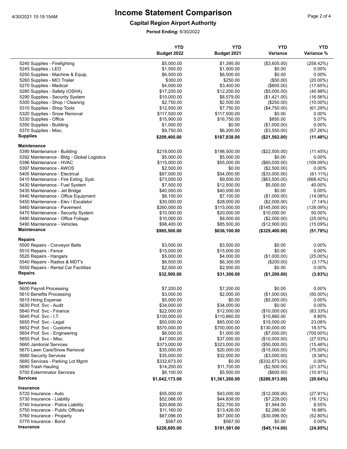### **Capital Region Airport Authority**

|                                                     | <b>YTD</b><br>Budget 2022 | <b>YTD</b><br>Budget 2021 | <b>YTD</b><br>Variance | <b>YTD</b><br>Variance % |
|-----------------------------------------------------|---------------------------|---------------------------|------------------------|--------------------------|
|                                                     |                           |                           |                        |                          |
| 5240 Supplies - Firefighting<br>5245 Supplies - LEO | \$5,000.00<br>\$1,500.00  | \$1,395.00<br>\$1,500.00  | (\$3,605.00)<br>\$0.00 | (258.42%)<br>0.00%       |
| 5250 Supplies - Machine & Equip.                    | \$6,500.00                | \$6,500.00                | \$0.00                 | 0.00%                    |
| 5260 Supplies - MCI Trailer                         | \$300.00                  | \$250.00                  | (\$50.00)              | $(20.00\%)$              |
| 5270 Supplies - Medical                             | \$4,000.00                | \$3,400.00                | (\$600.00)             | (17.65%)                 |
| 5280 Supplies - Safety (OSHA)                       | \$17,200.00               | \$12,200.00               | (\$5,000.00)           | (40.98%)                 |
| 5290 Supplies - Security System                     | \$10,000.00               | \$8,579.00                | (\$1,421.00)           | (16.56%)                 |
| 5300 Supplies - Shop / Cleaning                     | \$2,750.00                | \$2,500.00                | (\$250.00)             | $(10.00\%)$              |
| 5310 Supplies - Shop Tools                          | \$12,500.00               | \$7,750.00                | (\$4,750.00)           | (61.29%)                 |
| 5320 Supplies - Snow Removal                        | \$117,500.00              | \$117,500.00              | \$0.00                 | 0.00%                    |
| 5330 Supplies - Office                              | \$15,900.00               | \$16,750.00               | \$850.00               | 5.07%                    |
| 5350 Supplies - Building                            | \$1,000.00                | \$0.00                    | (\$1,000.00)           | 0.00%                    |
| 5370 Supplies - Misc.                               | \$9,750.00                | \$6,200.00                | (\$3,550.00)           | (57.26%)                 |
| <b>Supplies</b>                                     | \$209,400.00              | \$187,838.00              | (\$21,562.00)          | (11.48%)                 |
| <b>Maintenance</b>                                  |                           |                           |                        |                          |
| 5390 Maintenance - Building                         | \$219,000.00              | \$196,500.00              | (\$22,500.00)          | (11.45%)                 |
| 5392 Maintenance - Bldg - Global Logistics          | \$5,000.00                | \$5,000.00                | \$0.00                 | 0.00%                    |
| 5396 Maintenance - HVAC                             | \$115,000.00              | \$55,000.00               | $($ \$60,000.00)       | (109.09%)                |
| 5397 Maintenance - AWOS                             | \$2,500.00                | \$0.00                    | (\$2,500.00)           | 0.00%                    |
| 5405 Maintenance - Electrical                       | \$87,000.00               | \$54,000.00               | (\$33,000.00)          | $(61.11\%)$              |
| 5410 Maintenance - Fire Exting. Syst.               | \$73,000.00               | \$9,500.00                | (\$63,500.00)          | (668.42%)                |
| 5430 Maintenance - Fuel System                      | \$7,500.00                | \$12,500.00               | \$5,000.00             | 40.00%                   |
| 5435 Maintenance - Jet Bridge                       | \$40,000.00               | \$40,000.00               | \$0.00                 | 0.00%                    |
| 5440 Maintenance - Office Equipment                 | \$8,100.00                | \$7,100.00                | (\$1,000.00)           | (14.08%)                 |
| 5450 Maintenance - Elev / Escalator                 | \$30,000.00               | \$28,000.00               | (\$2,000.00)           | (7.14%)                  |
| 5460 Maintenance - Pavement                         | \$260,000.00              | \$115,000.00              | (\$145,000.00)         | (126.09%)                |
| 5470 Maintenance - Security System                  | \$10,000.00               | \$20,000.00               | \$10,000.00            | 50.00%                   |
| 5480 Maintenance - Office Foliage                   | \$10,000.00               | \$8,000.00                | (\$2,000.00)           | $(25.00\%)$              |
| 5490 Maintenance - Vehicles                         | \$98,400.00               | \$85,500.00               | (\$12,900.00)          | (15.09%)                 |
| Maintenance                                         | \$965,500.00              | \$636,100.00              | (\$329,400.00)         | (51.78%)                 |
| <b>Repairs</b><br>5500 Repairs - Conveyor Belts     | \$3,500.00                | \$3,500.00                | \$0.00                 | $0.00\%$                 |
|                                                     | \$15,000.00               | \$15,000.00               | \$0.00                 | 0.00%                    |
| 5510 Repairs - Fence<br>5520 Repairs - Hangars      | \$5,000.00                | \$4,000.00                | (\$1,000.00)           | $(25.00\%)$              |
| 5540 Repairs - Radios & MDT's                       | \$6,500.00                | \$6,300.00                | (\$200.00)             |                          |
| 5550 Repairs - Rental Car Facilities                | \$2,500.00                | \$2,500.00                | \$0.00                 | (3.17%)<br>0.00%         |
| <b>Repairs</b>                                      | \$32,500.00               | \$31,300.00               | (\$1,200.00)           | (3.83%)                  |
| <b>Services</b>                                     |                           |                           |                        |                          |
| 5600 Payroll Processing                             | \$7,200.00                | \$7,200.00                | \$0.00                 | $0.00\%$                 |
| 5610 Benefits Processing                            | \$3,000.00                | \$2,000.00                | (\$1,000.00)           | $(50.00\%)$              |
| 5615 Hiring Expense                                 | \$5,000.00                | \$0.00                    | (\$5,000.00)           | $0.00\%$                 |
| 5630 Prof. Svc - Audit                              | \$34,000.00               | \$34,000.00               | \$0.00                 | 0.00%                    |
| 5640 Prof. Svc - Finance                            | \$22,000.00               | \$12,000.00               | (\$10,000.00)          | (83.33%)                 |
| 5645 Prof. Svc - I.T.                               | \$100,000.00              | \$110,860.00              | \$10,860.00            | 9.80%                    |
| 5650 Prof. Svc - Legal                              | \$50,000.00               | \$65,000.00               | \$15,000.00            | 23.08%                   |
| 5652 Prof. Svc - Customs                            | \$570,000.00              | \$700,000.00              | \$130,000.00           | 18.57%                   |
| 5654 Prof. Svc - Engineering                        | \$8,000.00                | \$1,000.00                | (\$7,000.00)           | $(700.00\%)$             |
| 5655 Prof. Svc - Misc.                              | \$47,000.00               | \$37,000.00               | (\$10,000.00)          | (27.03%)                 |
| 5660 Janitorial Services                            | \$373,000.00              | \$323,000.00              | (\$50,000.00)          | (15.48%)                 |
| 5670 Lawn Care/Snow Removal                         | \$35,000.00               | \$20,000.00               | (\$15,000.00)          | $(75.00\%)$              |
| 5680 Security Services                              | \$35,000.00               | \$32,000.00               | (\$3,000.00)           | (9.38%)                  |
| 5685 Services - Parking Lot Mgmt                    | \$332,673.00              | \$0.00                    | (\$332,673.00)         | 0.00%                    |
| 5690 Trash Hauling                                  | \$14,200.00               | \$11,700.00               | (\$2,500.00)           | (21.37%)                 |
| 5700 Exterminator Services                          | \$6,100.00                | \$5,500.00                | (\$600.00)             | $(10.91\%)$              |
| <b>Services</b>                                     | \$1,642,173.00            | \$1,361,260.00            | (\$280,913.00)         | (20.64%)                 |
| <b>Insurance</b>                                    |                           |                           |                        |                          |
| 5720 Insurance - Auto                               | \$55,000.00               | \$43,000.00               | (\$12,000.00)          | (27.91%)                 |
| 5730 Insurance - Liability                          | \$52,066.00               | \$44,838.00               | (\$7,228.00)           | (16.12%)                 |
| 5740 Insurance - Police Liability                   | \$20,806.00               | \$22,750.00               | \$1,944.00             | 8.55%                    |
| 5750 Insurance - Public Officials                   | \$11,160.00               | \$13,426.00               | \$2,266.00             | 16.88%                   |
| 5760 Insurance - Property                           | \$87,096.00               | \$57,000.00               | (\$30,096.00)          | (52.80%)                 |
| 5770 Insurance - Bond                               | \$567.00                  | \$567.00                  | \$0.00                 | $0.00\%$                 |
| Insurance                                           | \$226,695.00              | \$181,581.00              | (\$45, 114.00)         | (24.85%)                 |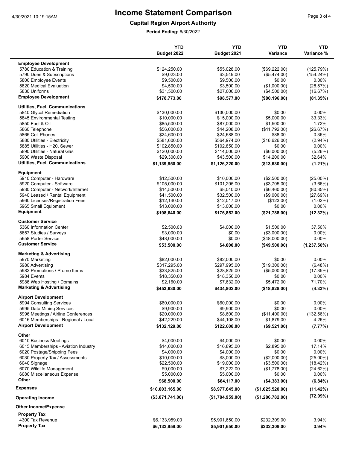**Capital Region Airport Authority**

|                                         | <b>YTD</b><br>Budget 2022 | <b>YTD</b><br>Budget 2021 | <b>YTD</b><br>Variance | <b>YTD</b><br>Variance % |
|-----------------------------------------|---------------------------|---------------------------|------------------------|--------------------------|
|                                         |                           |                           |                        |                          |
| <b>Employee Development</b>             |                           |                           |                        |                          |
| 5780 Education & Training               | \$124,250.00              | \$55,028.00               | (\$69,222.00)          | (125.79%)                |
| 5790 Dues & Subscriptions               | \$9,023.00                | \$3,549.00                | (\$5,474.00)           | $(154.24\%)$             |
| 5800 Employee Events                    | \$9,500.00                | \$9,500.00                | \$0.00                 | $0.00\%$                 |
| 5820 Medical Evaluation                 | \$4,500.00                | \$3,500.00                | (\$1,000.00)           | (28.57%)                 |
| 5830 Uniforms                           | \$31,500.00               | \$27,000.00               | (\$4,500.00)           | (16.67%)                 |
| <b>Employee Development</b>             | \$178,773.00              | \$98,577.00               | (\$80,196.00)          | (81.35%)                 |
| <b>Utilities, Fuel, Communications</b>  |                           |                           |                        |                          |
| 5840 Glycol Remediation                 | \$130,000.00              | \$130,000.00              | \$0.00                 | $0.00\%$                 |
| 5845 Environmental Testing              | \$10,000.00               | \$15,000.00               | \$5,000.00             | 33.33%                   |
| 5850 Fuel & Oil                         | \$85,500.00               | \$87,000.00               | \$1,500.00             | 1.72%                    |
| 5860 Telephone                          | \$56,000.00               | \$44,208.00               | (\$11,792.00)          | (26.67%)                 |
| 5865 Cell Phones                        | \$24,600.00               | \$24,688.00               | \$88.00                | 0.36%                    |
| 5880 Utilities - Electricity            | \$581,600.00              | \$564,974.00              | (\$16,626.00)          | $(2.94\%)$               |
| 5885 Utilities - H20, Sewer             | \$102,850.00              | \$102,850.00              | \$0.00                 | 0.00%                    |
| 5890 Utilities - Natural Gas            | \$120,000.00              | \$114,000.00              | (\$6,000.00)           | (5.26%)                  |
| 5900 Waste Disposal                     | \$29,300.00               | \$43,500.00               | \$14,200.00            | 32.64%                   |
| Utilities, Fuel, Communications         | \$1,139,850.00            | \$1,126,220.00            | (\$13,630.00)          | $(1.21\%)$               |
| Equipment                               |                           |                           |                        |                          |
| 5910 Computer - Hardware                | \$12,500.00               | \$10,000.00               | (\$2,500.00)           | $(25.00\%)$              |
| 5920 Computer - Software                | \$105,000.00              | \$101,295.00              | (\$3,705.00)           | $(3.66\%)$               |
| 5930 Computer - Network/Internet        | \$14,500.00               | \$8,040.00                | (\$6,460.00)           | (80.35%)                 |
| 5940 Leased / Rental Equipment          | \$41,500.00               | \$32,500.00               | (\$9,000.00)           | (27.69%)                 |
| 5960 Licenses/Registration Fees         | \$12,140.00               | \$12,017.00               | (\$123.00)             | $(1.02\%)$               |
|                                         | \$13,000.00               | \$13,000.00               | \$0.00                 | 0.00%                    |
| 5965 Small Equipment                    |                           |                           |                        |                          |
| <b>Equipment</b>                        | \$198,640.00              | \$176,852.00              | (\$21,788.00)          | (12.32%)                 |
| <b>Customer Service</b>                 |                           |                           |                        |                          |
| 5360 Information Center                 | \$2,500.00                | \$4,000.00                | \$1,500.00             | 37.50%                   |
| 5657 Studies / Surveys                  | \$3,000.00                | \$0.00                    | (\$3,000.00)           | $0.00\%$                 |
| 5658 Porter Service                     | \$48,000.00               | \$0.00                    | (\$48,000.00)          | 0.00%                    |
| <b>Customer Service</b>                 | \$53,500.00               | \$4,000.00                | (\$49,500.00)          | $(1,237.50\%)$           |
| <b>Marketing &amp; Advertising</b>      |                           |                           |                        |                          |
| 5970 Marketing                          | \$82,000.00               | \$82,000.00               | \$0.00                 | $0.00\%$                 |
| 5980 Advertising                        | \$317,295.00              | \$297,995.00              | (\$19,300.00)          | $(6.48\%)$               |
| 5982 Promotions / Promo Items           | \$33,825.00               | \$28,825.00               | (\$5,000.00)           | (17.35%)                 |
| 5984 Events                             | \$18,350.00               | \$18,350.00               | \$0.00                 | 0.00%                    |
| 5986 Web Hosting / Domains              | \$2,160.00                | \$7,632.00                | \$5,472.00             | 71.70%                   |
| <b>Marketing &amp; Advertising</b>      | \$453,630.00              | \$434,802.00              | (\$18,828.00)          | (4.33%)                  |
| <b>Airport Development</b>              |                           |                           |                        |                          |
| 5994 Consulting Services                | \$60,000.00               | \$60,000.00               | \$0.00                 | 0.00%                    |
| 5995 Data Mining Services               | \$9,900.00                | \$9,900.00                | \$0.00                 | 0.00%                    |
| 5996 Meetings / Airline Conferences     | \$20,000.00               | \$8,600.00                | (\$11,400.00)          | (132.56%)                |
| 6016 Memberships - Regional / Local     | \$42,229.00               | \$44,108.00               | \$1,879.00             | 4.26%                    |
| <b>Airport Development</b>              | \$132,129.00              | \$122,608.00              | (\$9,521.00)           | (7.77%)                  |
| Other                                   |                           |                           |                        |                          |
| 6010 Business Meetings                  | \$4,000.00                | \$4,000.00                | \$0.00                 | $0.00\%$                 |
| 6015 Memberships - Aviation Industry    | \$14,000.00               | \$16,895.00               | \$2,895.00             | 17.14%                   |
| 6020 Postage/Shipping Fees              | \$4,000.00                | \$4,000.00                | \$0.00                 | 0.00%                    |
| 6030 Property Tax / Assessments         | \$10,000.00               | \$8,000.00                | (\$2,000.00)           | $(25.00\%)$              |
| 6040 Signage                            | \$22,500.00               |                           |                        |                          |
|                                         |                           | \$19,000.00               | (\$3,500.00)           | (18.42%)                 |
| 6070 Wildlife Management                | \$9,000.00                | \$7,222.00                | (\$1,778.00)           | (24.62%)                 |
| 6080 Miscellaneous Expense<br>Other     | \$5,000.00<br>\$68,500.00 | \$5,000.00<br>\$64,117.00 | \$0.00<br>(\$4,383.00) | 0.00%<br>(6.84%)         |
| <b>Expenses</b>                         | \$10,003,165.00           | \$8,977,645.00            | (\$1,025,520.00)       | (11.42%)                 |
|                                         | (\$3,071,741.00)          | (\$1,784,959.00)          | (\$1,286,782.00)       | (72.09%)                 |
| <b>Operating Income</b>                 |                           |                           |                        |                          |
| <b>Other Income/Expense</b>             |                           |                           |                        |                          |
| <b>Property Tax</b><br>4300 Tax Revenue | \$6,133,959.00            | \$5,901,650.00            | \$232,309.00           | 3.94%                    |
| <b>Property Tax</b>                     | \$6,133,959.00            | \$5,901,650.00            | \$232,309.00           | 3.94%                    |
|                                         |                           |                           |                        |                          |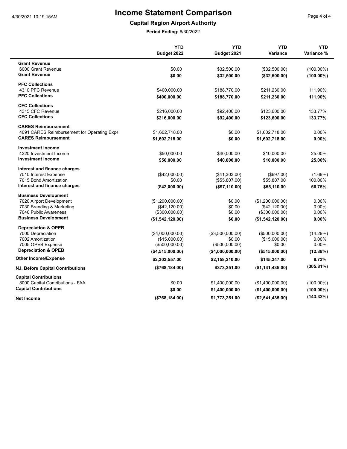**Capital Region Airport Authority**

|                                             | <b>YTD</b>        | <b>YTD</b>        | <b>YTD</b>        | <b>YTD</b>   |
|---------------------------------------------|-------------------|-------------------|-------------------|--------------|
|                                             | Budget 2022       | Budget 2021       | Variance          | Variance %   |
| <b>Grant Revenue</b>                        |                   |                   |                   |              |
| 6000 Grant Revenue                          | \$0.00            | \$32,500.00       | (\$32,500.00)     | $(100.00\%)$ |
| <b>Grant Revenue</b>                        | \$0.00            | \$32,500.00       | (\$32,500.00)     | $(100.00\%)$ |
| <b>PFC Collections</b>                      |                   |                   |                   |              |
| 4310 PFC Revenue                            | \$400,000.00      | \$188,770.00      | \$211,230.00      | 111.90%      |
| <b>PFC Collections</b>                      | \$400,000.00      | \$188,770.00      | \$211,230.00      | 111.90%      |
| <b>CFC Collections</b>                      |                   |                   |                   |              |
| 4315 CFC Revenue                            | \$216,000.00      | \$92,400.00       | \$123,600.00      | 133.77%      |
| <b>CFC Collections</b>                      | \$216,000.00      | \$92,400.00       | \$123,600.00      | 133.77%      |
| <b>CARES Reimbursement</b>                  |                   |                   |                   |              |
| 4091 CARES Reimbursement for Operating Expe | \$1,602,718.00    | \$0.00            | \$1,602,718.00    | 0.00%        |
| <b>CARES Reimbursement</b>                  | \$1,602,718.00    | \$0.00            | \$1,602,718.00    | 0.00%        |
| <b>Investment Income</b>                    |                   |                   |                   |              |
| 4320 Investment Income                      | \$50,000.00       | \$40,000.00       | \$10,000.00       | 25.00%       |
| <b>Investment Income</b>                    | \$50,000.00       | \$40,000.00       | \$10,000.00       | 25.00%       |
| Interest and finance charges                |                   |                   |                   |              |
| 7010 Interest Expense                       | (\$42,000.00)     | (\$41,303.00)     | (\$697.00)        | $(1.69\%)$   |
| 7015 Bond Amortization                      | \$0.00            | (\$55,807.00)     | \$55,807.00       | 100.00%      |
| Interest and finance charges                | (\$42,000.00)     | (\$97,110.00)     | \$55,110.00       | 56.75%       |
| <b>Business Development</b>                 |                   |                   |                   |              |
| 7020 Airport Development                    | (\$1,200,000.00)  | \$0.00            | (\$1,200,000.00)  | 0.00%        |
| 7030 Branding & Marketing                   | (\$42,120.00)     | \$0.00            | (\$42,120.00)     | 0.00%        |
| 7040 Public Awareness                       | (\$300,000.00)    | \$0.00            | (\$300,000.00)    | 0.00%        |
| <b>Business Development</b>                 | (\$1,542,120.00)  | \$0.00            | (\$1,542,120.00)  | 0.00%        |
| <b>Depreciation &amp; OPEB</b>              |                   |                   |                   |              |
| 7000 Depreciation                           | (\$4,000,000.00)  | (\$3,500,000.00)  | (\$500,000.00)    | (14.29%)     |
| 7002 Amortization                           | (\$15,000.00)     | \$0.00            | (\$15,000.00)     | 0.00%        |
| 7005 OPEB Expense                           | (\$500,000.00)    | (\$500,000.00)    | \$0.00            | 0.00%        |
| <b>Depreciation &amp; OPEB</b>              | ( \$4,515,000.00) | ( \$4,000,000.00) | $($ \$515,000.00) | (12.88%)     |
| <b>Other Income/Expense</b>                 | \$2,303,557.00    | \$2,158,210.00    | \$145,347.00      | 6.73%        |
| N.I. Before Capital Contributions           | (\$768, 184.00)   | \$373,251.00      | ( \$1,141,435.00) | (305.81%)    |
| <b>Capital Contributions</b>                |                   |                   |                   |              |
| 8000 Capital Contributions - FAA            | \$0.00            | \$1,400,000.00    | (\$1,400,000.00)  | $(100.00\%)$ |
| <b>Capital Contributions</b>                | \$0.00            | \$1,400,000.00    | (\$1,400,000.00)  | $(100.00\%)$ |
| Net Income                                  | (\$768, 184.00)   | \$1,773,251.00    | (\$2,541,435.00)  | (143.32%)    |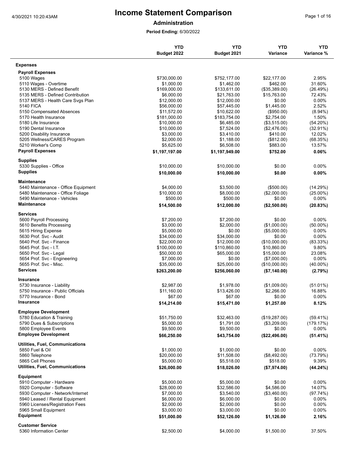#### **Administration**

|                                                     | <b>YTD</b>                | <b>YTD</b>                | <b>YTD</b>              | <b>YTD</b>           |
|-----------------------------------------------------|---------------------------|---------------------------|-------------------------|----------------------|
|                                                     | Budget 2022               | Budget 2021               | <b>Variance</b>         | Variance %           |
| <b>Expenses</b>                                     |                           |                           |                         |                      |
| <b>Payroll Expenses</b>                             |                           |                           |                         |                      |
| 5100 Wages                                          | \$730,000.00              | \$752,177.00              | \$22,177.00             | 2.95%                |
| 5110 Wages - Overtime                               | \$1,000.00                | \$1,462.00                | \$462.00                | 31.60%               |
| 5130 MERS - Defined Benefit                         | \$169,000.00              | \$133,611.00              | (\$35,389.00)           | (26.49%)             |
| 5135 MERS - Defined Contribution                    | \$6,000.00                | \$21,763.00               | \$15,763.00             | 72.43%               |
| 5137 MERS - Health Care Svgs Plan                   | \$12,000.00               | \$12,000.00               | \$0.00                  | 0.00%                |
| <b>5140 FICA</b>                                    | \$56,000.00               | \$57,445.00               | \$1,445.00              | 2.52%                |
| 5150 Compensated Absences                           | \$11,572.00               | \$10,622.00               | $(\$950.00)$            | $(8.94\%)$           |
| 5170 Health Insurance                               | \$181,000.00              | \$183,754.00              | \$2,754.00              | 1.50%                |
| 5180 Life Insurance                                 | \$10,000.00               | \$6,485.00                | (\$3,515.00)            | (54.20%)             |
| 5190 Dental Insurance                               | \$10,000.00               | \$7,524.00                | (\$2,476.00)            | $(32.91\%)$          |
| 5200 Disability Insurance                           | \$3,000.00                | \$3,410.00                | \$410.00                | 12.02%               |
| 5205 Wellness/CARES Program                         | \$2,000.00                | \$1,188.00                | (\$812.00)              | (68.35%)             |
| 5210 Worker's Comp                                  | \$5,625.00                | \$6,508.00                | \$883.00                | 13.57%               |
| <b>Payroll Expenses</b>                             | \$1,197,197.00            | \$1,197,949.00            | \$752.00                | 0.06%                |
| <b>Supplies</b>                                     |                           |                           |                         |                      |
| 5330 Supplies - Office                              | \$10,000.00               | \$10,000.00               | \$0.00                  | $0.00\%$             |
| <b>Supplies</b>                                     | \$10,000.00               | \$10,000.00               | \$0.00                  | 0.00%                |
| <b>Maintenance</b>                                  |                           |                           |                         |                      |
| 5440 Maintenance - Office Equipment                 | \$4,000.00                | \$3,500.00                | (\$500.00)              | (14.29%)             |
| 5480 Maintenance - Office Foliage                   | \$10,000.00               | \$8,000.00                | (\$2,000.00)            | $(25.00\%)$          |
| 5490 Maintenance - Vehicles                         | \$500.00                  | \$500.00                  | \$0.00                  | 0.00%                |
| <b>Maintenance</b>                                  | \$14,500.00               | \$12,000.00               | (\$2,500.00)            | (20.83%)             |
| <b>Services</b>                                     |                           |                           |                         |                      |
|                                                     |                           |                           |                         |                      |
| 5600 Payroll Processing                             | \$7,200.00                | \$7,200.00                | \$0.00                  | $0.00\%$             |
| 5610 Benefits Processing                            | \$3,000.00                | \$2,000.00                | (\$1,000.00)            | $(50.00\%)$          |
| 5615 Hiring Expense                                 | \$5,000.00                | \$0.00                    | (\$5,000.00)            | $0.00\%$             |
| 5630 Prof. Svc - Audit                              | \$34,000.00               | \$34,000.00               | \$0.00                  | 0.00%                |
| 5640 Prof. Svc - Finance                            | \$22,000.00               | \$12,000.00               | (\$10,000.00)           | (83.33%)             |
| 5645 Prof. Svc - I.T.                               | \$100,000.00              | \$110,860.00              | \$10,860.00             | 9.80%                |
| 5650 Prof. Svc - Legal                              | \$50,000.00               | \$65,000.00               | \$15,000.00             | 23.08%               |
| 5654 Prof. Svc - Engineering                        | \$7,000.00                | \$0.00                    | (\$7,000.00)            | $0.00\%$             |
| 5655 Prof. Svc - Misc.                              | \$35,000.00               | \$25,000.00               | (\$10,000.00)           | $(40.00\%)$          |
| <b>Services</b>                                     | \$263,200.00              | \$256,060.00              | (\$7,140.00)            | (2.79%)              |
| <b>Insurance</b>                                    |                           |                           |                         |                      |
| 5730 Insurance - Liability                          | \$2.987.00                | \$1,978.00                | (\$1,009.00)            | $(51.01\%)$          |
| 5750 Insurance - Public Officials                   | \$11,160.00               | \$13,426.00               | \$2,266.00              | 16.88%               |
| 5770 Insurance - Bond                               | \$67.00                   | \$67.00                   | \$0.00                  | 0.00%                |
| Insurance                                           | \$14,214.00               | \$15,471.00               | \$1,257.00              | 8.12%                |
| <b>Employee Development</b>                         |                           |                           |                         |                      |
| 5780 Education & Training                           | \$51,750.00               | \$32,463.00               | (\$19,287.00)           | $(59.41\%)$          |
| 5790 Dues & Subscriptions                           |                           | \$1,791.00                |                         |                      |
|                                                     | \$5,000.00                |                           | (\$3,209.00)            | (179.17%)            |
| 5800 Employee Events<br><b>Employee Development</b> | \$9,500.00<br>\$66,250.00 | \$9,500.00<br>\$43,754.00 | \$0.00<br>(\$22,496.00) | $0.00\%$<br>(51.41%) |
|                                                     |                           |                           |                         |                      |
| <b>Utilities, Fuel, Communications</b>              |                           |                           |                         |                      |
| 5850 Fuel & Oil                                     | \$1,000.00                | \$1,000.00                | \$0.00                  | $0.00\%$             |
| 5860 Telephone                                      | \$20,000.00               | \$11,508.00               | (\$8,492.00)            | (73.79%)             |
| 5865 Cell Phones                                    | \$5,000.00                | \$5,518.00                | \$518.00                | 9.39%                |
| <b>Utilities, Fuel, Communications</b>              | \$26,000.00               | \$18,026.00               | (\$7,974.00)            | (44.24%)             |
| Equipment                                           |                           |                           |                         |                      |
| 5910 Computer - Hardware                            | \$5,000.00                | \$5,000.00                | \$0.00                  | $0.00\%$             |
| 5920 Computer - Software                            | \$28,000.00               | \$32,586.00               | \$4,586.00              | 14.07%               |
| 5930 Computer - Network/Internet                    | \$7,000.00                | \$3,540.00                | (\$3,460.00)            | (97.74%)             |
| 5940 Leased / Rental Equipment                      | \$6,000.00                | \$6,000.00                | \$0.00                  | $0.00\%$             |
| 5960 Licenses/Registration Fees                     | \$2,000.00                | \$2,000.00                | \$0.00                  | $0.00\%$             |
| 5965 Small Equipment                                | \$3,000.00                | \$3,000.00                | \$0.00                  | 0.00%                |
| <b>Equipment</b>                                    | \$51,000.00               | \$52,126.00               | \$1,126.00              | 2.16%                |
| <b>Customer Service</b>                             |                           |                           |                         |                      |
| 5360 Information Center                             | \$2,500.00                | \$4,000.00                | \$1,500.00              | 37.50%               |
|                                                     |                           |                           |                         |                      |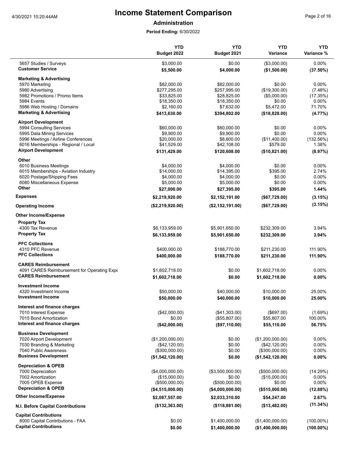**Administration**

|                                             | <b>YTD</b><br>Budget 2022 | <b>YTD</b><br>Budget 2021 | <b>YTD</b><br><b>Variance</b> | <b>YTD</b><br>Variance % |
|---------------------------------------------|---------------------------|---------------------------|-------------------------------|--------------------------|
| 5657 Studies / Surveys                      | \$3,000.00                | \$0.00                    | (\$3,000.00)                  | 0.00%                    |
| <b>Customer Service</b>                     | \$5,500.00                | \$4,000.00                | (\$1,500.00)                  | $(37.50\%)$              |
| <b>Marketing &amp; Advertising</b>          |                           |                           |                               |                          |
| 5970 Marketing                              | \$82,000.00               | \$82,000.00               | \$0.00                        | $0.00\%$                 |
| 5980 Advertising                            | \$277,295.00              | \$257,995.00              | (\$19,300.00)                 | (7.48%)                  |
| 5982 Promotions / Promo Items               | \$33,825.00               | \$28,825.00               | (\$5,000.00)                  | (17.35%)                 |
| 5984 Events                                 | \$18,350.00               | \$18,350.00               | \$0.00                        | $0.00\%$                 |
| 5986 Web Hosting / Domains                  | \$2,160.00                | \$7,632.00                | \$5,472.00                    | 71.70%                   |
| <b>Marketing &amp; Advertising</b>          | \$413,630.00              | \$394,802.00              | (\$18,828.00)                 | $(4.77\%)$               |
| <b>Airport Development</b>                  |                           |                           |                               |                          |
| 5994 Consulting Services                    | \$60,000.00               | \$60,000.00               | \$0.00                        | 0.00%                    |
| 5995 Data Mining Services                   | \$9,900.00                | \$9,900.00                | \$0.00                        | 0.00%                    |
| 5996 Meetings / Airline Conferences         | \$20,000.00               | \$8,600.00                | (\$11,400.00)                 | (132.56%)                |
| 6016 Memberships - Regional / Local         | \$41,529.00               | \$42,108.00               | \$579.00                      | 1.38%                    |
| <b>Airport Development</b>                  | \$131,429.00              | \$120,608.00              | (\$10,821.00)                 | (8.97%)                  |
| Other                                       |                           |                           |                               |                          |
| 6010 Business Meetings                      | \$4,000.00                | \$4,000.00                | \$0.00                        | 0.00%                    |
| 6015 Memberships - Aviation Industry        | \$14,000.00               | \$14,395.00               | \$395.00                      | 2.74%                    |
| 6020 Postage/Shipping Fees                  | \$4,000.00                | \$4,000.00                | \$0.00                        | $0.00\%$                 |
| 6080 Miscellaneous Expense                  | \$5,000.00                | \$5,000.00                | \$0.00                        | 0.00%                    |
| Other                                       | \$27,000.00               | \$27,395.00               | \$395.00                      | 1.44%                    |
| <b>Expenses</b>                             | \$2,219,920.00            | \$2,152,191.00            | (\$67,729.00)                 | (3.15%)                  |
| <b>Operating Income</b>                     | (\$2,219,920.00)          | (\$2,152,191.00)          | (\$67,729.00)                 | (3.15%)                  |
| <b>Other Income/Expense</b>                 |                           |                           |                               |                          |
| <b>Property Tax</b>                         |                           |                           |                               |                          |
| 4300 Tax Revenue                            | \$6,133,959.00            | \$5,901,650.00            | \$232,309.00                  | 3.94%                    |
| <b>Property Tax</b>                         | \$6,133,959.00            | \$5,901,650.00            | \$232,309.00                  | 3.94%                    |
| <b>PFC Collections</b>                      |                           |                           |                               |                          |
| 4310 PFC Revenue                            | \$400,000.00              | \$188,770.00              | \$211,230.00                  | 111.90%                  |
| <b>PFC Collections</b>                      | \$400,000.00              | \$188,770.00              | \$211,230.00                  | 111.90%                  |
| <b>CARES Reimbursement</b>                  |                           |                           |                               |                          |
| 4091 CARES Reimbursement for Operating Expe | \$1,602,718.00            | \$0.00                    | \$1,602,718.00                | 0.00%                    |
| <b>CARES Reimbursement</b>                  | \$1,602,718.00            | \$0.00                    | \$1,602,718.00                | 0.00%                    |
| <b>Investment Income</b>                    |                           |                           |                               |                          |
| 4320 Investment Income                      | \$50,000.00               | \$40,000.00               | \$10,000.00                   | 25.00%                   |
| <b>Investment Income</b>                    | \$50,000.00               | \$40,000.00               | \$10,000.00                   | 25.00%                   |
| Interest and finance charges                |                           |                           |                               |                          |
| 7010 Interest Expense                       | (\$42,000.00)             | (\$41,303.00)             | (\$697.00)                    | (1.69%)                  |
| 7015 Bond Amortization                      | \$0.00                    | (\$55,807.00)             | \$55,807.00                   | 100.00%                  |
| Interest and finance charges                | (\$42,000.00)             | (\$97,110.00)             | \$55,110.00                   | 56.75%                   |
| <b>Business Development</b>                 |                           |                           |                               |                          |
| 7020 Airport Development                    | (\$1,200,000.00)          | \$0.00                    | (\$1,200,000.00)              | 0.00%                    |
| 7030 Branding & Marketing                   | (\$42,120.00)             | \$0.00                    | (\$42,120.00)                 | 0.00%                    |
| 7040 Public Awareness                       | (\$300,000.00)            | \$0.00                    | (\$300,000.00)                | 0.00%                    |
| <b>Business Development</b>                 | (\$1,542,120.00)          | \$0.00                    | (\$1,542,120.00)              | 0.00%                    |
| <b>Depreciation &amp; OPEB</b>              |                           |                           |                               |                          |
| 7000 Depreciation                           | (\$4,000,000.00)          | (\$3,500,000.00)          | (\$500,000.00)                | (14.29%)                 |
| 7002 Amortization                           | (\$15,000.00)             | \$0.00                    | (\$15,000.00)                 | $0.00\%$                 |
| 7005 OPEB Expense                           | (\$500,000.00)            | (\$500,000.00)            | \$0.00                        | 0.00%                    |
| <b>Depreciation &amp; OPEB</b>              | (\$4,515,000.00)          | ( \$4,000,000.00)         | (\$515,000.00)                | (12.88%)                 |
| <b>Other Income/Expense</b>                 | \$2,087,557.00            | \$2,033,310.00            | \$54,247.00                   | 2.67%                    |
| N.I. Before Capital Contributions           | (\$132,363.00)            | (\$118,881.00)            | (\$13,482.00)                 | (11.34%)                 |
| <b>Capital Contributions</b>                |                           |                           |                               |                          |
| 8000 Capital Contributions - FAA            | \$0.00                    | \$1,400,000.00            | (\$1,400,000.00)              | $(100.00\%)$             |
| <b>Capital Contributions</b>                | \$0.00                    | \$1,400,000.00            | (\$1,400,000.00)              | $(100.00\%)$             |
|                                             |                           |                           |                               |                          |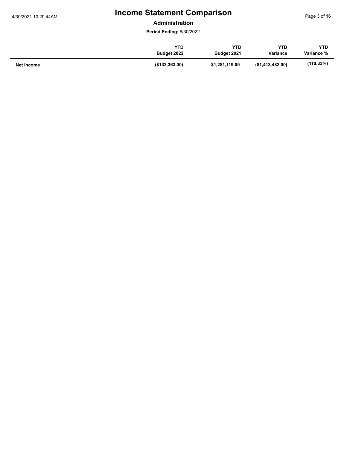**Administration**

|            | YTD            | <b>YTD</b>     | YTD              | <b>YTD</b>   |
|------------|----------------|----------------|------------------|--------------|
|            | Budget 2022    | Budget 2021    | <b>Variance</b>  | Variance %   |
| Net Income | (\$132,363.00) | \$1,281,119.00 | (\$1,413,482.00) | $(110.33\%)$ |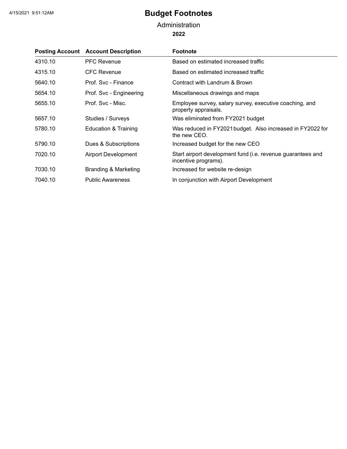### **2022** Administration

|         | <b>Posting Account Account Description</b> | <b>Footnote</b>                                                                     |
|---------|--------------------------------------------|-------------------------------------------------------------------------------------|
| 4310.10 | <b>PFC Revenue</b>                         | Based on estimated increased traffic                                                |
| 4315.10 | CFC Revenue                                | Based on estimated increased traffic                                                |
| 5640.10 | Prof. Svc - Finance                        | Contract with Landrum & Brown                                                       |
| 5654.10 | Prof. Svc - Engineering                    | Miscellaneous drawings and maps                                                     |
| 5655.10 | Prof. Svc - Misc.                          | Employee survey, salary survey, executive coaching, and<br>property appraisals.     |
| 5657.10 | Studies / Surveys                          | Was eliminated from FY2021 budget                                                   |
| 5780.10 | Education & Training                       | Was reduced in FY2021 budget. Also increased in FY2022 for<br>the new CEO.          |
| 5790.10 | Dues & Subscriptions                       | Increased budget for the new CEO                                                    |
| 7020.10 | <b>Airport Development</b>                 | Start airport development fund (i.e. revenue guarantees and<br>incentive programs). |
| 7030.10 | <b>Branding &amp; Marketing</b>            | Increased for website re-design                                                     |
| 7040.10 | <b>Public Awareness</b>                    | In conjunction with Airport Development                                             |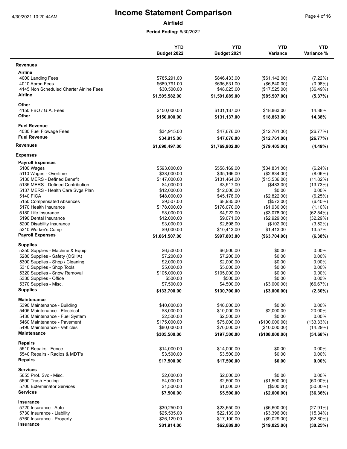**Airfield**

|                                                   | <b>YTD</b><br>Budget 2022    | <b>YTD</b><br>Budget 2021   | <b>YTD</b><br>Variance          | <b>YTD</b><br>Variance % |
|---------------------------------------------------|------------------------------|-----------------------------|---------------------------------|--------------------------|
| <b>Revenues</b>                                   |                              |                             |                                 |                          |
| Airline                                           |                              |                             |                                 |                          |
| 4000 Landing Fees                                 | \$785,291.00                 | \$846,433.00                | (\$61,142.00)                   | (7.22%)                  |
| 4010 Apron Fees                                   | \$689,791.00                 | \$696,631.00                | (\$6,840.00)                    | (0.98%)                  |
| 4145 Non Scheduled Charter Airline Fees           | \$30,500.00                  | \$48,025.00                 | (\$17,525.00)                   | (36.49%)                 |
| Airline                                           | \$1,505,582.00               | \$1,591,089.00              | (\$85,507.00)                   | (5.37%)                  |
| Other                                             |                              |                             |                                 |                          |
| 4150 FBO / G.A. Fees<br>Other                     | \$150,000.00                 | \$131,137.00                | \$18,863.00                     | 14.38%                   |
|                                                   | \$150,000.00                 | \$131,137.00                | \$18,863.00                     | 14.38%                   |
| <b>Fuel Revenue</b>                               |                              |                             |                                 |                          |
| 4030 Fuel Flowage Fees<br><b>Fuel Revenue</b>     | \$34,915.00<br>\$34,915.00   | \$47,676.00<br>\$47,676.00  | (\$12,761.00)                   | (26.77%)                 |
| <b>Revenues</b>                                   | \$1,690,497.00               | \$1,769,902.00              | (\$12,761.00)<br>(\$79,405.00)  | (26.77%)<br>(4.49%)      |
|                                                   |                              |                             |                                 |                          |
| <b>Expenses</b><br><b>Payroll Expenses</b>        |                              |                             |                                 |                          |
| 5100 Wages                                        | \$593,000.00                 | \$558,169.00                | (\$34,831.00)                   | $(6.24\%)$               |
| 5110 Wages - Overtime                             | \$38,000.00                  | \$35,166.00                 | (\$2,834.00)                    | $(8.06\%)$               |
| 5130 MERS - Defined Benefit                       | \$147.000.00                 | \$131,464.00                | (\$15,536.00)                   | (11.82%)                 |
| 5135 MERS - Defined Contribution                  | \$4,000.00                   | \$3,517.00                  | (\$483.00)                      | (13.73%)                 |
| 5137 MERS - Health Care Svgs Plan                 | \$12,000.00                  | \$12,000.00                 | \$0.00                          | $0.00\%$                 |
| 5140 FICA                                         | \$48,000.00                  | \$45,178.00                 | (\$2,822.00)                    | (6.25%)                  |
| 5150 Compensated Absences                         | \$9,507.00                   | \$8,935.00                  | (\$572.00)                      | $(6.40\%)$               |
| 5170 Health Insurance                             | \$178,000.00                 | \$176,070.00                | (\$1,930.00)                    | $(1.10\%)$               |
| 5180 Life Insurance                               | \$8,000.00                   | \$4,922.00                  | (\$3,078.00)                    | (62.54%)                 |
| 5190 Dental Insurance                             | \$12,000.00                  | \$9,071.00                  | (\$2,929.00)                    | (32.29%)                 |
| 5200 Disability Insurance                         | \$3,000.00                   | \$2,898.00                  | (\$102.00)                      | (3.52%)                  |
| 5210 Worker's Comp<br><b>Payroll Expenses</b>     | \$9,000.00<br>\$1,061,507.00 | \$10,413.00<br>\$997,803.00 | \$1,413.00<br>( \$63,704.00)    | 13.57%<br>(6.38%)        |
| <b>Supplies</b>                                   |                              |                             |                                 |                          |
| 5250 Supplies - Machine & Equip.                  | \$6,500.00                   | \$6,500.00                  | \$0.00                          | $0.00\%$                 |
| 5280 Supplies - Safety (OSHA)                     | \$7,200.00                   | \$7,200.00                  | \$0.00                          | 0.00%                    |
| 5300 Supplies - Shop / Cleaning                   | \$2,000.00                   | \$2,000.00                  | \$0.00                          | $0.00\%$                 |
| 5310 Supplies - Shop Tools                        | \$5,000.00                   | \$5,000.00                  | \$0.00                          | 0.00%                    |
| 5320 Supplies - Snow Removal                      | \$105,000.00                 | \$105,000.00                | \$0.00                          | 0.00%                    |
| 5330 Supplies - Office                            | \$500.00                     | \$500.00                    | \$0.00                          | 0.00%                    |
| 5370 Supplies - Misc.                             | \$7,500.00                   | \$4,500.00                  | (\$3,000.00)                    | (66.67%)                 |
| <b>Supplies</b>                                   | \$133,700.00                 | \$130,700.00                | (\$3,000.00)                    | $(2.30\%)$               |
| Maintenance                                       |                              |                             |                                 |                          |
| 5390 Maintenance - Building                       | \$40,000.00                  | \$40,000.00                 | \$0.00                          | 0.00%                    |
| 5405 Maintenance - Electrical                     | \$8,000.00                   | \$10,000.00                 | \$2,000.00                      | 20.00%                   |
| 5430 Maintenance - Fuel System                    | \$2,500.00                   | \$2,500.00                  | \$0.00                          | 0.00%                    |
| 5460 Maintenance - Pavement                       | \$175,000.00                 | \$75,000.00                 | (\$100,000.00)                  | (133.33%)                |
| 5490 Maintenance - Vehicles<br><b>Maintenance</b> | \$80,000.00<br>\$305,500.00  | \$70,000.00<br>\$197,500.00 | (\$10,000.00)<br>(\$108,000.00) | (14.29%)<br>(54.68%)     |
|                                                   |                              |                             |                                 |                          |
| Repairs<br>5510 Repairs - Fence                   | \$14,000.00                  | \$14,000.00                 | \$0.00                          | $0.00\%$                 |
| 5540 Repairs - Radios & MDT's                     | \$3,500.00                   | \$3,500.00                  | \$0.00                          | $0.00\%$                 |
| <b>Repairs</b>                                    | \$17,500.00                  | \$17,500.00                 | \$0.00                          | 0.00%                    |
| <b>Services</b>                                   |                              |                             |                                 |                          |
| 5655 Prof. Svc - Misc.                            | \$2,000.00                   | \$2,000.00                  | \$0.00                          | 0.00%                    |
| 5690 Trash Hauling                                | \$4,000.00                   | \$2,500.00                  | (\$1,500.00)                    | $(60.00\%)$              |
| 5700 Exterminator Services                        | \$1,500.00                   | \$1,000.00                  | (\$500.00)                      | $(50.00\%)$              |
| <b>Services</b>                                   | \$7,500.00                   | \$5,500.00                  | (\$2,000.00)                    | (36.36%)                 |
| Insurance                                         |                              |                             |                                 |                          |
| 5720 Insurance - Auto                             | \$30,250.00                  | \$23,650.00                 | (\$6,600.00)                    | (27.91%)                 |
| 5730 Insurance - Liability                        | \$25,535.00                  | \$22,139.00                 | (\$3,396.00)                    | (15.34%)                 |
| 5760 Insurance - Property                         | \$26,129.00                  | \$17,100.00                 | (\$9,029.00)                    | (52.80%)                 |
| <b>Insurance</b>                                  | \$81,914.00                  | \$62,889.00                 | (\$19,025.00)                   | (30.25%)                 |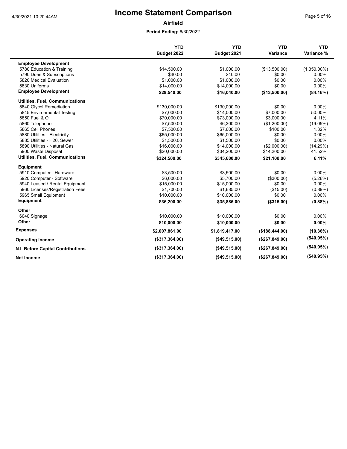**Airfield**

|                                          | <b>YTD</b>     | <b>YTD</b>     | <b>YTD</b>      | <b>YTD</b>     |
|------------------------------------------|----------------|----------------|-----------------|----------------|
|                                          | Budget 2022    | Budget 2021    | Variance        | Variance %     |
| <b>Employee Development</b>              |                |                |                 |                |
| 5780 Education & Training                | \$14,500.00    | \$1,000.00     | (\$13,500.00)   | $(1,350.00\%)$ |
| 5790 Dues & Subscriptions                | \$40.00        | \$40.00        | \$0.00          | 0.00%          |
| 5820 Medical Evaluation                  | \$1,000.00     | \$1.000.00     | \$0.00          | $0.00\%$       |
| 5830 Uniforms                            | \$14,000.00    | \$14,000.00    | \$0.00          | 0.00%          |
| <b>Employee Development</b>              | \$29,540.00    | \$16,040.00    | (\$13,500.00)   | (84.16%)       |
| <b>Utilities, Fuel, Communications</b>   |                |                |                 |                |
| 5840 Glycol Remediation                  | \$130,000.00   | \$130,000.00   | \$0.00          | 0.00%          |
| 5845 Environmental Testing               | \$7,000.00     | \$14,000.00    | \$7,000.00      | 50.00%         |
| 5850 Fuel & Oil                          | \$70,000.00    | \$73,000.00    | \$3,000.00      | 4.11%          |
| 5860 Telephone                           | \$7,500.00     | \$6,300.00     | (\$1,200.00)    | (19.05%)       |
| 5865 Cell Phones                         | \$7,500.00     | \$7,600.00     | \$100.00        | 1.32%          |
| 5880 Utilities - Electricity             | \$65,000.00    | \$65,000.00    | \$0.00          | 0.00%          |
| 5885 Utilities - H20, Sewer              | \$1,500.00     | \$1,500.00     | \$0.00          | 0.00%          |
| 5890 Utilities - Natural Gas             | \$16,000.00    | \$14,000.00    | (\$2,000.00)    | (14.29%)       |
| 5900 Waste Disposal                      | \$20,000.00    | \$34,200.00    | \$14,200.00     | 41.52%         |
| <b>Utilities, Fuel, Communications</b>   | \$324,500.00   | \$345,600.00   | \$21,100.00     | 6.11%          |
| <b>Equipment</b>                         |                |                |                 |                |
| 5910 Computer - Hardware                 | \$3,500.00     | \$3,500.00     | \$0.00          | 0.00%          |
| 5920 Computer - Software                 | \$6,000.00     | \$5,700.00     | (\$300.00)      | (5.26%)        |
| 5940 Leased / Rental Equipment           | \$15,000.00    | \$15,000.00    | \$0.00          | 0.00%          |
| 5960 Licenses/Registration Fees          | \$1.700.00     | \$1,685.00     | (\$15.00)       | $(0.89\%)$     |
| 5965 Small Equipment                     | \$10,000.00    | \$10,000.00    | \$0.00          | $0.00\%$       |
| <b>Equipment</b>                         | \$36,200.00    | \$35,885.00    | (\$315.00)      | (0.88%)        |
| Other                                    |                |                |                 |                |
| 6040 Signage                             | \$10,000.00    | \$10,000.00    | \$0.00          | 0.00%          |
| Other                                    | \$10,000.00    | \$10,000.00    | \$0.00          | 0.00%          |
| <b>Expenses</b>                          | \$2,007,861.00 | \$1,819,417.00 | (\$188,444.00)  | (10.36%)       |
| <b>Operating Income</b>                  | (\$317,364.00) | (\$49,515.00)  | (\$267,849.00)  | (540.95%)      |
| <b>N.I. Before Capital Contributions</b> | (\$317,364.00) | (\$49,515.00)  | (\$267,849.00)  | (540.95%)      |
| <b>Net Income</b>                        | (\$317,364.00) | ( \$49,515.00) | (\$267, 849.00) | (540.95%)      |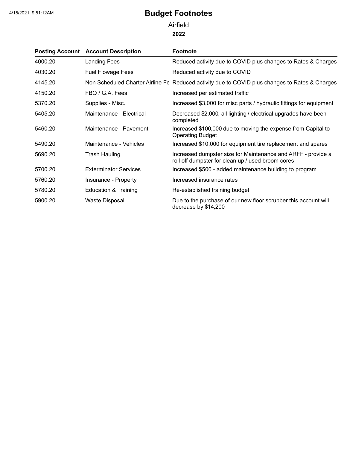**2022** Airfield

|         | <b>Posting Account Account Description</b> | <b>Footnote</b>                                                                                                   |
|---------|--------------------------------------------|-------------------------------------------------------------------------------------------------------------------|
| 4000.20 | <b>Landing Fees</b>                        | Reduced activity due to COVID plus changes to Rates & Charges                                                     |
| 4030.20 | <b>Fuel Flowage Fees</b>                   | Reduced activity due to COVID                                                                                     |
| 4145.20 |                                            | Non Scheduled Charter Airline Fe Reduced activity due to COVID plus changes to Rates & Charges                    |
| 4150.20 | FBO / G.A. Fees                            | Increased per estimated traffic                                                                                   |
| 5370.20 | Supplies - Misc.                           | Increased \$3,000 for misc parts / hydraulic fittings for equipment                                               |
| 5405.20 | Maintenance - Electrical                   | Decreased \$2,000, all lighting / electrical upgrades have been<br>completed                                      |
| 5460.20 | Maintenance - Pavement                     | Increased \$100,000 due to moving the expense from Capital to<br><b>Operating Budget</b>                          |
| 5490.20 | Maintenance - Vehicles                     | Increased \$10,000 for equipment tire replacement and spares                                                      |
| 5690.20 | Trash Hauling                              | Increased dumpster size for Maintenance and ARFF - provide a<br>roll off dumpster for clean up / used broom cores |
| 5700.20 | <b>Exterminator Services</b>               | Increased \$500 - added maintenance building to program                                                           |
| 5760.20 | Insurance - Property                       | Increased insurance rates                                                                                         |
| 5780.20 | Education & Training                       | Re-established training budget                                                                                    |
| 5900.20 | Waste Disposal                             | Due to the purchase of our new floor scrubber this account will<br>decrease by \$14,200                           |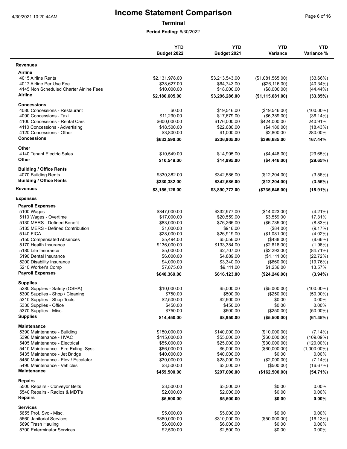**Terminal**

|                                                    | <b>YTD</b><br>Budget 2022  | <b>YTD</b><br>Budget 2021  | <b>YTD</b><br>Variance       | <b>YTD</b><br>Variance % |
|----------------------------------------------------|----------------------------|----------------------------|------------------------------|--------------------------|
| <b>Revenues</b>                                    |                            |                            |                              |                          |
| <b>Airline</b>                                     |                            |                            |                              |                          |
| 4015 Airline Rents                                 | \$2,131,978.00             | \$3,213,543.00             | (\$1,081,565.00)             | $(33.66\%)$              |
| 4017 Airline Per Use Fee                           | \$38,627.00                | \$64,743.00                | (\$26,116.00)                | $(40.34\%)$              |
| 4145 Non Scheduled Charter Airline Fees            | \$10,000.00                | \$18,000.00                | (\$8,000.00)                 | (44.44%)                 |
| Airline                                            | \$2,180,605.00             | \$3,296,286.00             | (\$1,115,681.00)             | (33.85%)                 |
| Concessions                                        |                            |                            |                              |                          |
| 4080 Concessions - Restaurant                      | \$0.00                     | \$19,546.00                | (\$19,546.00)                | $(100.00\%)$             |
| 4090 Concessions - Taxi                            | \$11,290.00                | \$17,679.00                | (\$6,389.00)                 | (36.14%)                 |
| 4100 Concessions - Rental Cars                     | \$600,000.00               | \$176,000.00               | \$424,000.00                 | 240.91%                  |
| 4110 Concessions - Advertising                     | \$18,500.00                | \$22,680.00                | (\$4,180.00)                 | (18.43%)                 |
| 4120 Concessions - Other                           | \$3,800.00                 | \$1,000.00                 | \$2,800.00                   | 280.00%                  |
| <b>Concessions</b>                                 | \$633,590.00               | \$236,905.00               | \$396,685.00                 | 167.44%                  |
| Other                                              |                            |                            |                              |                          |
| 4140 Tenant Electric Sales                         | \$10,549.00                | \$14,995.00                | (\$4,446.00)                 | (29.65%)                 |
| Other                                              | \$10,549.00                | \$14,995.00                | (\$4,446.00)                 | (29.65%)                 |
| <b>Building / Office Rents</b>                     |                            |                            |                              |                          |
| 4070 Building Rents                                | \$330,382.00               | \$342,586.00               | (\$12,204.00)                | (3.56%)                  |
| <b>Building / Office Rents</b>                     | \$330,382.00               | \$342,586.00               | (\$12,204.00)                | (3.56%)                  |
| <b>Revenues</b>                                    | \$3,155,126.00             | \$3,890,772.00             | (\$735,646.00)               | $(18.91\%)$              |
| <b>Expenses</b>                                    |                            |                            |                              |                          |
| <b>Payroll Expenses</b>                            |                            |                            |                              |                          |
| 5100 Wages                                         | \$347,000.00               | \$332,977.00               | (\$14,023.00)                | $(4.21\%)$               |
| 5110 Wages - Overtime                              | \$17,000.00                | \$20,559.00                | \$3,559.00                   | 17.31%                   |
| 5130 MERS - Defined Benefit                        | \$83,000.00                | \$76,265.00                | (\$6,735.00)                 | (8.83%)                  |
| 5135 MERS - Defined Contribution                   | \$1,000.00                 | \$916.00                   | (\$84.00)                    | (9.17%)                  |
| <b>5140 FICA</b>                                   | \$28,000.00                | \$26,919.00                | (\$1,081.00)                 | $(4.02\%)$               |
| 5150 Compensated Absences                          | \$5,494.00                 | \$5,056.00                 | $(\$438.00)$                 | $(8.66\%)$               |
| 5170 Health Insurance                              | \$136,000.00               | \$133,384.00               | (\$2,616.00)                 | $(1.96\%)$               |
| 5180 Life Insurance                                | \$5,000.00                 | \$2,707.00                 | (\$2,293.00)                 | $(84.71\%)$              |
| 5190 Dental Insurance                              | \$6,000.00                 | \$4,889.00                 | (\$1,111.00)                 | (22.72%)                 |
| 5200 Disability Insurance                          | \$4,000.00                 | \$3,340.00                 | $($ \$660.00)                | (19.76%)                 |
| 5210 Worker's Comp<br><b>Payroll Expenses</b>      | \$7,875.00<br>\$640,369.00 | \$9,111.00<br>\$616,123.00 | \$1,236.00<br>(\$24, 246.00) | 13.57%<br>$(3.94\%)$     |
|                                                    |                            |                            |                              |                          |
| <b>Supplies</b><br>5280 Supplies - Safety (OSHA)   | \$10,000.00                | \$5,000.00                 | (\$5,000.00)                 | $(100.00\%)$             |
| 5300 Supplies - Shop / Cleaning                    | \$750.00                   | \$500.00                   | (\$250.00)                   | $(50.00\%)$              |
| 5310 Supplies - Shop Tools                         | \$2,500.00                 | \$2,500.00                 | \$0.00                       | $0.00\%$                 |
| 5330 Supplies - Office                             | \$450.00                   | \$450.00                   | \$0.00                       | 0.00%                    |
| 5370 Supplies - Misc.                              | \$750.00                   | \$500.00                   | $(\$250.00)$                 | $(50.00\%)$              |
| <b>Supplies</b>                                    | \$14,450.00                | \$8,950.00                 | (\$5,500.00)                 | (61.45%)                 |
| Maintenance                                        |                            |                            |                              |                          |
| 5390 Maintenance - Building                        | \$150,000.00               | \$140,000.00               | (\$10,000.00)                | (7.14%)                  |
| 5396 Maintenance - HVAC                            | \$115,000.00               | \$55,000.00                | $(\$60,000.00)$              | (109.09%)                |
| 5405 Maintenance - Electrical                      | \$55,000.00                | \$25,000.00                | (\$30,000.00)                | $(120.00\%)$             |
| 5410 Maintenance - Fire Exting. Syst.              | \$66,000.00                | \$6,000.00                 | $(\$60,000.00)$              | $(1,000.00\%)$           |
| 5435 Maintenance - Jet Bridge                      | \$40,000.00                | \$40,000.00                | \$0.00                       | $0.00\%$                 |
| 5450 Maintenance - Elev / Escalator                | \$30,000.00                | \$28,000.00                | (\$2,000.00)                 | $(7.14\%)$               |
| 5490 Maintenance - Vehicles                        | \$3,500.00                 | \$3,000.00                 | (\$500.00)                   | (16.67%)                 |
| Maintenance                                        | \$459,500.00               | \$297,000.00               | (\$162,500.00)               | (54.71%)                 |
| <b>Repairs</b>                                     |                            |                            |                              |                          |
| 5500 Repairs - Conveyor Belts                      | \$3,500.00                 | \$3,500.00                 | \$0.00                       | $0.00\%$                 |
| 5540 Repairs - Radios & MDT's<br>Repairs           | \$2,000.00                 | \$2,000.00                 | \$0.00                       | 0.00%                    |
|                                                    | \$5,500.00                 | \$5,500.00                 | \$0.00                       | 0.00%                    |
| <b>Services</b>                                    |                            |                            |                              |                          |
| 5655 Prof. Svc - Misc.<br>5660 Janitorial Services | \$5,000.00                 | \$5,000.00                 | \$0.00                       | 0.00%                    |
| 5690 Trash Hauling                                 | \$360,000.00<br>\$6,000.00 | \$310,000.00<br>\$6,000.00 | (\$50,000.00)<br>\$0.00      | (16.13%)<br>$0.00\%$     |
| 5700 Exterminator Services                         | \$2,500.00                 | \$2,500.00                 | \$0.00                       | 0.00%                    |
|                                                    |                            |                            |                              |                          |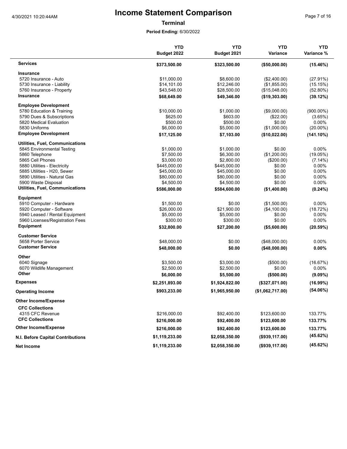**Terminal**

| Page 7 of 16 |  |  |
|--------------|--|--|
|              |  |  |

|                                   | <b>YTD</b>     | <b>YTD</b>     | <b>YTD</b>       | <b>YTD</b>   |
|-----------------------------------|----------------|----------------|------------------|--------------|
|                                   | Budget 2022    | Budget 2021    | Variance         | Variance %   |
| <b>Services</b>                   | \$373,500.00   | \$323,500.00   | (\$50,000.00)    | (15.46%)     |
| Insurance                         |                |                |                  |              |
| 5720 Insurance - Auto             | \$11,000.00    | \$8.600.00     | (\$2,400.00)     | (27.91%)     |
| 5730 Insurance - Liability        | \$14,101.00    | \$12,246.00    | (\$1,855.00)     | (15.15%)     |
| 5760 Insurance - Property         | \$43,548.00    | \$28,500.00    | (\$15,048.00)    | (52.80%)     |
| <b>Insurance</b>                  | \$68,649.00    | \$49,346.00    | (\$19,303.00)    | (39.12%)     |
| <b>Employee Development</b>       |                |                |                  |              |
| 5780 Education & Training         | \$10,000.00    | \$1,000.00     | (\$9,000.00)     | $(900.00\%)$ |
| 5790 Dues & Subscriptions         | \$625.00       | \$603.00       | (\$22.00)        | (3.65%)      |
| 5820 Medical Evaluation           | \$500.00       | \$500.00       | \$0.00           | $0.00\%$     |
| 5830 Uniforms                     | \$6,000.00     | \$5,000.00     | (\$1,000.00)     | $(20.00\%)$  |
| <b>Employee Development</b>       | \$17,125.00    | \$7,103.00     | (\$10,022.00)    | (141.10%)    |
| Utilities, Fuel, Communications   |                |                |                  |              |
| 5845 Environmental Testing        | \$1,000.00     | \$1,000.00     | \$0.00           | $0.00\%$     |
| 5860 Telephone                    | \$7,500.00     | \$6,300.00     | (\$1,200.00)     | (19.05%)     |
| 5865 Cell Phones                  | \$3,000.00     | \$2,800.00     | (\$200.00)       | $(7.14\%)$   |
| 5880 Utilities - Electricity      | \$445,000.00   | \$445,000.00   | \$0.00           | $0.00\%$     |
| 5885 Utilities - H20, Sewer       | \$45,000.00    | \$45,000.00    | \$0.00           | $0.00\%$     |
| 5890 Utilities - Natural Gas      | \$80,000.00    | \$80,000.00    | \$0.00           | 0.00%        |
| 5900 Waste Disposal               | \$4,500.00     | \$4,500.00     | \$0.00           | 0.00%        |
|                                   |                |                |                  |              |
| Utilities, Fuel, Communications   | \$586,000.00   | \$584,600.00   | (\$1,400.00)     | $(0.24\%)$   |
| <b>Equipment</b>                  |                |                |                  |              |
| 5910 Computer - Hardware          | \$1,500.00     | \$0.00         | (\$1,500.00)     | $0.00\%$     |
| 5920 Computer - Software          | \$26,000.00    | \$21,900.00    | (\$4,100.00)     | (18.72%)     |
| 5940 Leased / Rental Equipment    | \$5,000.00     | \$5,000.00     | \$0.00           | $0.00\%$     |
| 5960 Licenses/Registration Fees   | \$300.00       | \$300.00       | \$0.00           | 0.00%        |
| <b>Equipment</b>                  | \$32,800.00    | \$27,200.00    | (\$5,600.00)     | (20.59%)     |
| <b>Customer Service</b>           |                |                |                  |              |
| 5658 Porter Service               | \$48,000.00    | \$0.00         | (\$48,000.00)    | 0.00%        |
| <b>Customer Service</b>           | \$48,000.00    | \$0.00         | (\$48,000.00)    | 0.00%        |
| Other                             |                |                |                  |              |
| 6040 Signage                      | \$3,500.00     | \$3.000.00     | (\$500.00)       | (16.67%)     |
| 6070 Wildlife Management          | \$2,500.00     | \$2,500.00     | \$0.00           | 0.00%        |
| Other                             | \$6,000.00     | \$5,500.00     | (\$500.00)       | $(9.09\%)$   |
| <b>Expenses</b>                   | \$2,251,893.00 | \$1,924,822.00 | (\$327,071.00)   | (16.99%)     |
| <b>Operating Income</b>           | \$903,233.00   | \$1,965,950.00 | (\$1,062,717.00) | (54.06%)     |
| <b>Other Income/Expense</b>       |                |                |                  |              |
| <b>CFC Collections</b>            |                |                |                  |              |
| 4315 CFC Revenue                  | \$216,000.00   | \$92,400.00    | \$123,600.00     | 133.77%      |
| <b>CFC Collections</b>            | \$216,000.00   | \$92,400.00    | \$123,600.00     | 133.77%      |
| <b>Other Income/Expense</b>       | \$216,000.00   | \$92,400.00    | \$123,600.00     | 133.77%      |
|                                   |                |                |                  | (45.62%)     |
| N.I. Before Capital Contributions | \$1,119,233.00 | \$2,058,350.00 | (\$939,117.00)   |              |
| <b>Net Income</b>                 | \$1,119,233.00 | \$2,058,350.00 | (\$939,117.00)   | (45.62%)     |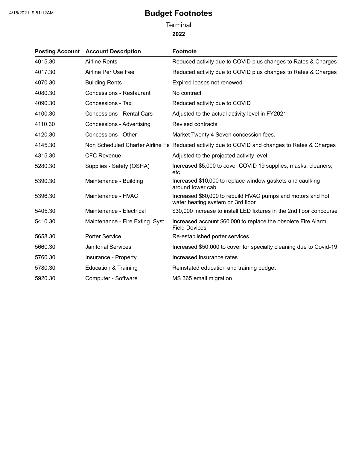**Terminal** 

**2022**

|         | <b>Posting Account Account Description</b> | <b>Footnote</b>                                                                                  |
|---------|--------------------------------------------|--------------------------------------------------------------------------------------------------|
| 4015.30 | <b>Airline Rents</b>                       | Reduced activity due to COVID plus changes to Rates & Charges                                    |
| 4017.30 | Airline Per Use Fee                        | Reduced activity due to COVID plus changes to Rates & Charges                                    |
| 4070.30 | <b>Building Rents</b>                      | Expired leases not renewed                                                                       |
| 4080.30 | Concessions - Restaurant                   | No contract                                                                                      |
| 4090.30 | Concessions - Taxi                         | Reduced activity due to COVID                                                                    |
| 4100.30 | <b>Concessions - Rental Cars</b>           | Adjusted to the actual activity level in FY2021                                                  |
| 4110.30 | <b>Concessions - Advertising</b>           | <b>Revised contracts</b>                                                                         |
| 4120.30 | Concessions - Other                        | Market Twenty 4 Seven concession fees.                                                           |
| 4145.30 |                                            | Non Scheduled Charter Airline Fe Reduced activity due to COVID and changes to Rates & Charges    |
| 4315.30 | <b>CFC Revenue</b>                         | Adjusted to the projected activity level                                                         |
| 5280.30 | Supplies - Safety (OSHA)                   | Increased \$5,000 to cover COVID 19 supplies, masks, cleaners,<br>etc                            |
| 5390.30 | Maintenance - Building                     | Increased \$10,000 to replace window gaskets and caulking<br>around tower cab                    |
| 5396.30 | Maintenance - HVAC                         | Increased \$60,000 to rebuild HVAC pumps and motors and hot<br>water heating system on 3rd floor |
| 5405.30 | Maintenance - Electrical                   | \$30,000 increase to install LED fixtures in the 2nd floor concourse                             |
| 5410.30 | Maintenance - Fire Exting. Syst.           | Increased account \$60,000 to replace the obsolete Fire Alarm<br><b>Field Devices</b>            |
| 5658.30 | <b>Porter Service</b>                      | Re-established porter services                                                                   |
| 5660.30 | <b>Janitorial Services</b>                 | Increased \$50,000 to cover for specialty cleaning due to Covid-19                               |
| 5760.30 | Insurance - Property                       | Increased insurance rates                                                                        |
| 5780.30 | <b>Education &amp; Training</b>            | Reinstated education and training budget                                                         |
| 5920.30 | Computer - Software                        | MS 365 email migration                                                                           |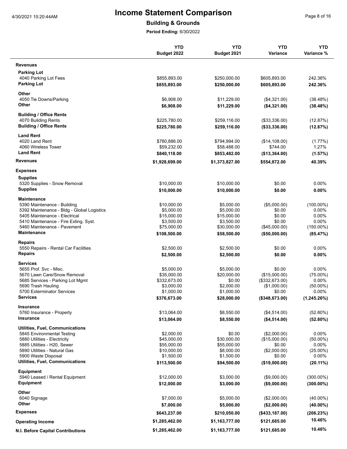### **Building & Grounds**

|                                                 | <b>YTD</b><br>Budget 2022  | <b>YTD</b><br>Budget 2021  | <b>YTD</b><br><b>Variance</b> | <b>YTD</b><br>Variance % |
|-------------------------------------------------|----------------------------|----------------------------|-------------------------------|--------------------------|
| <b>Revenues</b>                                 |                            |                            |                               |                          |
| <b>Parking Lot</b>                              |                            |                            |                               |                          |
| 4040 Parking Lot Fees                           | \$855,893.00               | \$250,000.00               | \$605,893.00                  | 242.36%                  |
| <b>Parking Lot</b>                              | \$855,893.00               | \$250,000.00               | \$605,893.00                  | 242.36%                  |
| Other                                           |                            |                            |                               |                          |
| 4050 Tie Downs/Parking<br>Other                 | \$6,908.00<br>\$6,908.00   | \$11,229.00<br>\$11,229.00 | (\$4,321.00)<br>(\$4,321.00)  | (38.48%)<br>(38.48%)     |
| <b>Building / Office Rents</b>                  |                            |                            |                               |                          |
| 4070 Building Rents                             | \$225,780.00               | \$259,116.00               | (\$33,336.00)                 | (12.87%)                 |
| <b>Building / Office Rents</b>                  | \$225,780.00               | \$259,116.00               | (\$33,336.00)                 | (12.87%)                 |
| <b>Land Rent</b>                                |                            |                            |                               |                          |
| 4020 Land Rent                                  | \$780,886.00               | \$794,994.00               | (\$14,108.00)                 | $(1.77\%)$               |
| 4060 Wireless Tower                             | \$59,232.00                | \$58,488.00                | \$744.00                      | 1.27%                    |
| <b>Land Rent</b>                                | \$840,118.00               | \$853,482.00               | (\$13,364.00)                 | (1.57%)                  |
| <b>Revenues</b>                                 | \$1,928,699.00             | \$1,373,827.00             | \$554,872.00                  | 40.39%                   |
| <b>Expenses</b>                                 |                            |                            |                               |                          |
| <b>Supplies</b><br>5320 Supplies - Snow Removal | \$10,000.00                | \$10,000.00                | \$0.00                        | $0.00\%$                 |
| <b>Supplies</b>                                 | \$10,000.00                | \$10,000.00                | \$0.00                        | $0.00\%$                 |
| Maintenance                                     |                            |                            |                               |                          |
| 5390 Maintenance - Building                     | \$10,000.00                | \$5.000.00                 | (\$5,000.00)                  | $(100.00\%)$             |
| 5392 Maintenance - Bldg - Global Logistics      | \$5,000.00                 | \$5,000.00                 | \$0.00                        | $0.00\%$                 |
| 5405 Maintenance - Electrical                   | \$15,000.00                | \$15,000.00                | \$0.00                        | $0.00\%$                 |
| 5410 Maintenance - Fire Exting. Syst.           | \$3,500.00                 | \$3,500.00                 | \$0.00                        | 0.00%                    |
| 5460 Maintenance - Pavement                     | \$75,000.00                | \$30,000.00                | (\$45,000.00)                 | $(150.00\%)$             |
| <b>Maintenance</b>                              | \$108,500.00               | \$58,500.00                | (\$50,000.00)                 | (85.47%)                 |
| Repairs<br>5550 Repairs - Rental Car Facilities | \$2,500.00                 | \$2,500.00                 | \$0.00                        | $0.00\%$                 |
| <b>Repairs</b>                                  | \$2,500.00                 | \$2,500.00                 | \$0.00                        | $0.00\%$                 |
| <b>Services</b>                                 |                            |                            |                               |                          |
| 5655 Prof. Svc - Misc.                          | \$5,000.00                 | \$5.000.00                 | \$0.00                        | $0.00\%$                 |
| 5670 Lawn Care/Snow Removal                     | \$35,000.00                | \$20,000.00                | (\$15,000.00)                 | $(75.00\%)$              |
| 5685 Services - Parking Lot Mgmt                | \$332,673.00               | \$0.00                     | (\$332,673.00)                | $0.00\%$                 |
| 5690 Trash Hauling                              | \$3,000.00                 | \$2,000.00                 | (\$1,000.00)                  | $(50.00\%)$              |
| 5700 Exterminator Services                      | \$1,000.00                 | \$1,000.00                 | \$0.00                        | $0.00\%$                 |
| <b>Services</b>                                 | \$376,673.00               | \$28,000.00                | (\$348,673.00)                | (1,245.26%)              |
| <b>Insurance</b><br>5760 Insurance - Property   | \$13,064.00                | \$8,550.00                 | (\$4,514.00)                  | (52.80%)                 |
| Insurance                                       | \$13,064.00                | \$8,550.00                 | (\$4,514.00)                  | (52.80%)                 |
| <b>Utilities, Fuel, Communications</b>          |                            |                            |                               |                          |
| 5845 Environmental Testing                      | \$2,000.00                 | \$0.00                     | (\$2,000.00)                  | 0.00%                    |
| 5880 Utilities - Electricity                    | \$45,000.00                | \$30,000.00                | (\$15,000.00)                 | $(50.00\%)$              |
| 5885 Utilities - H20, Sewer                     | \$55,000.00                | \$55,000.00                | \$0.00                        | $0.00\%$                 |
| 5890 Utilities - Natural Gas                    | \$10,000.00                | \$8,000.00                 | (\$2,000.00)                  | $(25.00\%)$              |
| 5900 Waste Disposal                             | \$1,500.00                 | \$1,500.00                 | \$0.00                        | $0.00\%$                 |
| Utilities, Fuel, Communications                 | \$113,500.00               | \$94,500.00                | (\$19,000.00)                 | $(20.11\%)$              |
| Equipment<br>5940 Leased / Rental Equipment     |                            | \$3,000.00                 |                               | $(300.00\%)$             |
| Equipment                                       | \$12,000.00<br>\$12,000.00 | \$3,000.00                 | (\$9,000.00)<br>(\$9,000.00)  | $(300.00\%)$             |
| Other                                           |                            |                            |                               |                          |
| 6040 Signage                                    | \$7,000.00                 | \$5,000.00                 | (\$2,000.00)                  | $(40.00\%)$              |
| Other                                           | \$7,000.00                 | \$5,000.00                 | (\$2,000.00)                  | $(40.00\%)$              |
| <b>Expenses</b>                                 | \$643,237.00               | \$210,050.00               | (\$433,187.00)                | (206.23%)                |
| <b>Operating Income</b>                         | \$1,285,462.00             | \$1,163,777.00             | \$121,685.00                  | 10.46%                   |
| N.I. Before Capital Contributions               | \$1,285,462.00             | \$1,163,777.00             | \$121,685.00                  | 10.46%                   |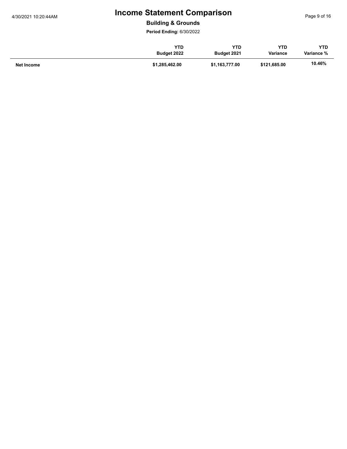**Building & Grounds**

|            | YTD            | YTD            | YTD          | <b>YTD</b> |
|------------|----------------|----------------|--------------|------------|
|            | Budget 2022    | Budget 2021    | Variance     | Variance % |
| Net Income | \$1,285,462.00 | \$1,163,777.00 | \$121,685.00 | 10.46%     |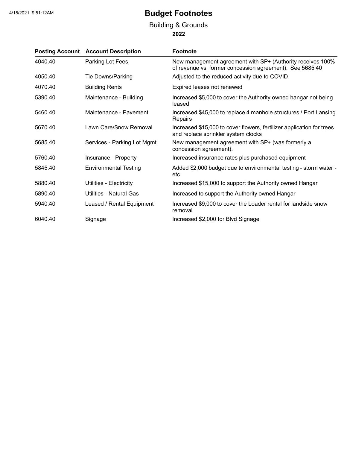### **2022** Building & Grounds

|         | <b>Posting Account Account Description</b> | <b>Footnote</b>                                                                                                        |
|---------|--------------------------------------------|------------------------------------------------------------------------------------------------------------------------|
| 4040.40 | Parking Lot Fees                           | New management agreement with SP+ (Authority receives 100%<br>of revenue vs. former concession agreement). See 5685.40 |
| 4050.40 | Tie Downs/Parking                          | Adjusted to the reduced activity due to COVID                                                                          |
| 4070.40 | <b>Building Rents</b>                      | Expired leases not renewed                                                                                             |
| 5390.40 | Maintenance - Building                     | Increased \$5,000 to cover the Authority owned hangar not being<br>leased                                              |
| 5460.40 | Maintenance - Pavement                     | Increased \$45,000 to replace 4 manhole structures / Port Lansing<br>Repairs                                           |
| 5670.40 | Lawn Care/Snow Removal                     | Increased \$15,000 to cover flowers, fertilizer application for trees<br>and replace sprinkler system clocks           |
| 5685.40 | Services - Parking Lot Mgmt                | New management agreement with SP+ (was formerly a<br>concession agreement).                                            |
| 5760.40 | Insurance - Property                       | Increased insurance rates plus purchased equipment                                                                     |
| 5845.40 | <b>Environmental Testing</b>               | Added \$2,000 budget due to environmental testing - storm water -<br>etc                                               |
| 5880.40 | Utilities - Electricity                    | Increased \$15,000 to support the Authority owned Hangar                                                               |
| 5890.40 | Utilities - Natural Gas                    | Increased to support the Authority owned Hangar                                                                        |
| 5940.40 | Leased / Rental Equipment                  | Increased \$9,000 to cover the Loader rental for landside snow<br>removal                                              |
| 6040.40 | Signage                                    | Increased \$2,000 for Blvd Signage                                                                                     |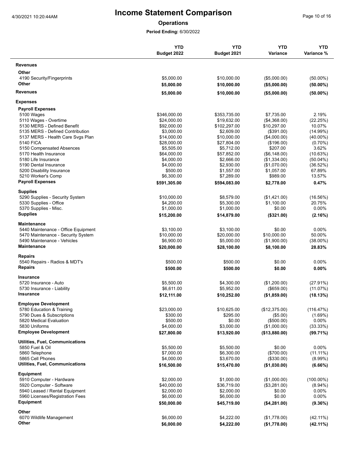**Operations**

|                                        | <b>YTD</b><br>Budget 2022 | <b>YTD</b><br>Budget 2021 | <b>YTD</b><br>Variance | <b>YTD</b><br>Variance % |
|----------------------------------------|---------------------------|---------------------------|------------------------|--------------------------|
| <b>Revenues</b>                        |                           |                           |                        |                          |
| Other                                  |                           |                           |                        |                          |
| 4190 Security/Fingerprints             | \$5,000.00                | \$10,000.00               | (\$5,000.00)           | $(50.00\%)$              |
| Other                                  | \$5,000.00                | \$10,000.00               | (\$5,000.00)           | $(50.00\%)$              |
| <b>Revenues</b>                        | \$5,000.00                | \$10,000.00               | (\$5,000.00)           | $(50.00\%)$              |
| <b>Expenses</b>                        |                           |                           |                        |                          |
| <b>Payroll Expenses</b>                |                           |                           |                        |                          |
| 5100 Wages                             | \$346,000.00              | \$353,735.00              | \$7,735.00             | 2.19%                    |
| 5110 Wages - Overtime                  | \$24,000.00               | \$19,632.00               | (\$4,368.00)           | (22.25%)                 |
| 5130 MERS - Defined Benefit            | \$92,000.00               | \$102,297.00              | \$10,297.00            | 10.07%                   |
| 5135 MERS - Defined Contribution       | \$3,000.00                | \$2,609.00                | (\$391.00)             | (14.99%)                 |
| 5137 MERS - Health Care Svgs Plan      | \$14,000.00               | \$10,000.00               | (\$4,000.00)           | $(40.00\%)$              |
| <b>5140 FICA</b>                       | \$28,000.00               | \$27,804.00               | (\$196.00)             | $(0.70\%)$               |
| 5150 Compensated Absences              | \$5,505.00                | \$5,712.00                | \$207.00               | 3.62%                    |
| 5170 Health Insurance                  | \$64,000.00               | \$57,852.00               | (\$6,148.00)           | (10.63%)                 |
| 5180 Life Insurance                    | \$4,000.00                | \$2,666.00                | (\$1,334.00)           | $(50.04\%)$              |
| 5190 Dental Insurance                  | \$4,000.00                | \$2,930.00                | (\$1,070.00)           | (36.52%)                 |
| 5200 Disability Insurance              | \$500.00                  | \$1,557.00                | \$1,057.00             | 67.89%                   |
| 5210 Worker's Comp                     | \$6,300.00                | \$7,289.00                | \$989.00               | 13.57%                   |
| <b>Payroll Expenses</b>                | \$591,305.00              | \$594,083.00              | \$2,778.00             | 0.47%                    |
| <b>Supplies</b>                        |                           |                           |                        |                          |
| 5290 Supplies - Security System        | \$10,000.00               | \$8,579.00                | (\$1,421.00)           | (16.56%)                 |
| 5330 Supplies - Office                 | \$4,200.00                | \$5,300.00                | \$1,100.00             | 20.75%                   |
| 5370 Supplies - Misc.                  | \$1,000.00                | \$1,000.00                | \$0.00                 | 0.00%                    |
| <b>Supplies</b>                        | \$15,200.00               | \$14,879.00               | (\$321.00)             | (2.16%)                  |
| Maintenance                            |                           |                           |                        |                          |
| 5440 Maintenance - Office Equipment    | \$3,100.00                | \$3,100.00                | \$0.00                 | 0.00%                    |
| 5470 Maintenance - Security System     | \$10,000.00               | \$20,000.00               | \$10,000.00            | 50.00%                   |
| 5490 Maintenance - Vehicles            | \$6,900.00                | \$5,000.00                | (\$1,900.00)           | $(38.00\%)$              |
| <b>Maintenance</b>                     | \$20,000.00               | \$28,100.00               | \$8,100.00             | 28.83%                   |
| <b>Repairs</b>                         |                           |                           |                        |                          |
| 5540 Repairs - Radios & MDT's          | \$500.00                  | \$500.00                  | \$0.00                 | 0.00%                    |
| <b>Repairs</b>                         | \$500.00                  | \$500.00                  | \$0.00                 | 0.00%                    |
| <b>Insurance</b>                       |                           |                           |                        |                          |
| 5720 Insurance - Auto                  | \$5,500.00                | \$4,300.00                | (\$1,200.00)           | $(27.91\%)$              |
| 5730 Insurance - Liability             | \$6,611.00                | \$5,952.00                | (\$659.00)             | (11.07%)                 |
| Insurance                              | \$12,111.00               | \$10,252.00               | (\$1,859.00)           | (18.13%)                 |
| <b>Employee Development</b>            |                           |                           |                        |                          |
| 5780 Education & Training              | \$23,000.00               | \$10,625.00               | (\$12,375.00)          | (116.47%)                |
| 5790 Dues & Subscriptions              | \$300.00                  | \$295.00                  | (\$5.00)               | (1.69%)                  |
| 5820 Medical Evaluation                | \$500.00                  | \$0.00                    | (\$500.00)             | 0.00%                    |
| 5830 Uniforms                          | \$4,000.00                | \$3,000.00                | (\$1,000.00)           | (33.33%)                 |
| <b>Employee Development</b>            | \$27,800.00               | \$13,920.00               | (\$13,880.00)          | (99.71%)                 |
| <b>Utilities, Fuel, Communications</b> |                           |                           |                        |                          |
| 5850 Fuel & Oil                        | \$5,500.00                | \$5,500.00                | \$0.00                 | $0.00\%$                 |
| 5860 Telephone                         | \$7,000.00                | \$6,300.00                | (\$700.00)             | $(11.11\%)$              |
| 5865 Cell Phones                       | \$4,000.00                | \$3,670.00                | (\$330.00)             | $(8.99\%)$               |
| <b>Utilities, Fuel, Communications</b> | \$16,500.00               | \$15,470.00               | (\$1,030.00)           | (6.66%)                  |
| Equipment                              |                           |                           |                        |                          |
| 5910 Computer - Hardware               | \$2,000.00                | \$1,000.00                | (\$1,000.00)           | $(100.00\%)$             |
| 5920 Computer - Software               | \$40,000.00               | \$36,719.00               | (\$3,281.00)           | $(8.94\%)$               |
| 5940 Leased / Rental Equipment         | \$2,000.00                | \$2,000.00                | \$0.00                 | $0.00\%$                 |
| 5960 Licenses/Registration Fees        | \$6,000.00                | \$6,000.00                | \$0.00                 | 0.00%                    |
| Equipment                              | \$50,000.00               | \$45,719.00               | (\$4,281.00)           | (9.36%)                  |
| Other                                  |                           |                           |                        |                          |
| 6070 Wildlife Management               | \$6,000.00                | \$4,222.00                | (\$1,778.00)           | (42.11%)                 |
| Other                                  | \$6,000.00                | \$4,222.00                | (\$1,778.00)           | $(42.11\%)$              |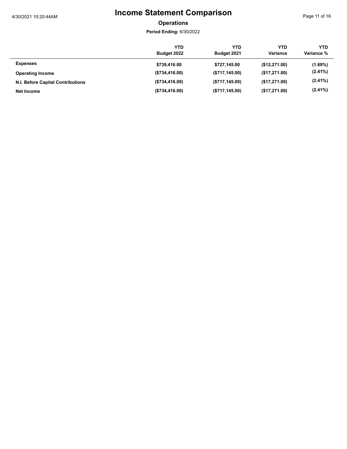Page 11 of 16

### **Operations**

|                                   | YTD<br>Budget 2022 | YTD<br>Budget 2021 | YTD<br>Variance | <b>YTD</b><br>Variance % |
|-----------------------------------|--------------------|--------------------|-----------------|--------------------------|
| <b>Expenses</b>                   | \$739,416.00       | \$727,145.00       | (\$12,271.00)   | $(1.69\%)$               |
| <b>Operating Income</b>           | (\$734,416.00)     | (\$717, 145.00)    | (\$17,271.00)   | $(2.41\%)$               |
| N.I. Before Capital Contributions | (\$734,416.00)     | (\$717, 145.00)    | (\$17,271.00)   | $(2.41\%)$               |
| Net Income                        | (\$734,416.00)     | (\$717, 145.00)    | (\$17,271.00)   | $(2.41\%)$               |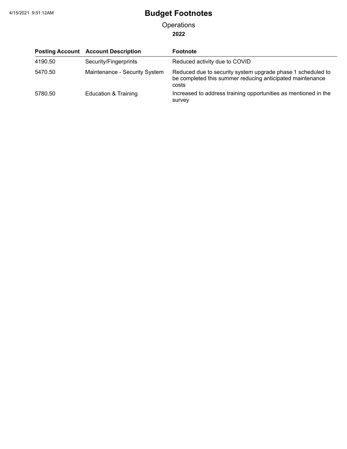**Operations** 

**2022**

|         | <b>Posting Account Account Description</b> | <b>Footnote</b>                                                                                                                   |
|---------|--------------------------------------------|-----------------------------------------------------------------------------------------------------------------------------------|
| 4190.50 | Security/Fingerprints                      | Reduced activity due to COVID                                                                                                     |
| 5470.50 | Maintenance - Security System              | Reduced due to security system upgrade phase 1 scheduled to<br>be completed this summer reducing anticipated maintenance<br>costs |
| 5780.50 | Education & Training                       | Increased to address training opportunities as mentioned in the<br>survey                                                         |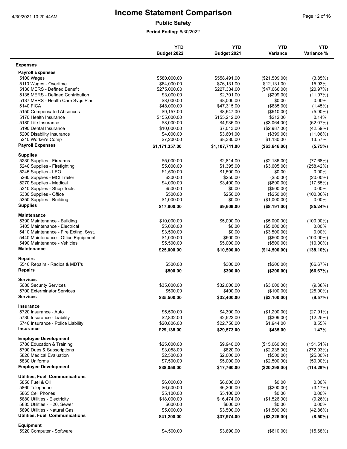**Public Safety**

|                                                    | <b>YTD</b><br>Budget 2022 | <b>YTD</b><br>Budget 2021 | <b>YTD</b><br>Variance | <b>YTD</b><br>Variance % |
|----------------------------------------------------|---------------------------|---------------------------|------------------------|--------------------------|
| <b>Expenses</b>                                    |                           |                           |                        |                          |
| <b>Payroll Expenses</b>                            |                           |                           |                        |                          |
| 5100 Wages                                         | \$580,000.00              | \$558,491.00              | (\$21,509.00)          | (3.85%)                  |
| 5110 Wages - Overtime                              | \$64,000.00               | \$76,131.00               | \$12,131.00            | 15.93%                   |
| 5130 MERS - Defined Benefit                        | \$275,000.00              | \$227,334.00              | (\$47,666.00)          | (20.97%)                 |
| 5135 MERS - Defined Contribution                   | \$3,000.00                | \$2,701.00                | (\$299.00)             | (11.07%)                 |
| 5137 MERS - Health Care Svgs Plan                  | \$8,000.00                | \$8,000.00                | \$0.00                 | $0.00\%$                 |
| <b>5140 FICA</b>                                   | \$48,000.00               | \$47,315.00               | (\$685.00)             | (1.45%)                  |
| 5150 Compensated Absences                          | \$9.157.00                | \$8,647.00                | (\$510.00)             | $(5.90\%)$               |
| 5170 Health Insurance                              | \$155,000.00              | \$155,212.00              | \$212.00               | 0.14%                    |
| 5180 Life Insurance                                | \$8,000.00                | \$4,936.00                | (\$3,064.00)           | (62.07%)                 |
| 5190 Dental Insurance                              | \$10,000.00               | \$7,013.00                | (\$2,987.00)           | (42.59%)                 |
| 5200 Disability Insurance                          | \$4,000.00                | \$3,601.00                | (\$399.00)             | $(11.08\%)$              |
| 5210 Worker's Comp                                 | \$7,200.00                | \$8,330.00                | \$1,130.00             | 13.57%                   |
| <b>Payroll Expenses</b>                            | \$1,171,357.00            | \$1,107,711.00            | (\$63,646.00)          | (5.75%)                  |
| <b>Supplies</b>                                    |                           |                           |                        |                          |
| 5230 Supplies - Firearms                           | \$5,000.00                | \$2,814.00                | (\$2,186.00)           | (77.68%)                 |
| 5240 Supplies - Firefighting                       | \$5,000.00                | \$1,395.00                | (\$3,605.00)           | (258.42%)                |
| 5245 Supplies - LEO<br>5260 Supplies - MCI Trailer | \$1,500.00<br>\$300.00    | \$1,500.00<br>\$250.00    | \$0.00<br>(\$50.00)    | $0.00\%$<br>$(20.00\%)$  |
| 5270 Supplies - Medical                            | \$4,000.00                | \$3,400.00                | (\$600.00)             | (17.65%)                 |
| 5310 Supplies - Shop Tools                         | \$500.00                  | \$0.00                    | (\$500.00)             | 0.00%                    |
| 5330 Supplies - Office                             | \$500.00                  | \$250.00                  | (\$250.00)             | $(100.00\%)$             |
| 5350 Supplies - Building                           | \$1,000.00                | \$0.00                    | (\$1,000.00)           | 0.00%                    |
| <b>Supplies</b>                                    | \$17,800.00               | \$9,609.00                | (\$8,191.00)           | (85.24%)                 |
| Maintenance                                        |                           |                           |                        |                          |
| 5390 Maintenance - Building                        | \$10,000.00               | \$5,000.00                | (\$5,000.00)           | $(100.00\%)$             |
| 5405 Maintenance - Electrical                      | \$5,000.00                | \$0.00                    | (\$5,000.00)           | $0.00\%$                 |
| 5410 Maintenance - Fire Exting. Syst.              | \$3,500.00                | \$0.00                    | (\$3,500.00)           | 0.00%                    |
| 5440 Maintenance - Office Equipment                | \$1,000.00                | \$500.00                  | (\$500.00)             | $(100.00\%)$             |
| 5490 Maintenance - Vehicles                        | \$5,500.00                | \$5,000.00                | (\$500.00)             | $(10.00\%)$              |
| Maintenance                                        | \$25,000.00               | \$10,500.00               | (\$14,500.00)          | $(138.10\%)$             |
| <b>Repairs</b>                                     |                           |                           |                        |                          |
| 5540 Repairs - Radios & MDT's                      | \$500.00                  | \$300.00                  | (\$200.00)             | (66.67%)                 |
| <b>Repairs</b>                                     | \$500.00                  | \$300.00                  | (\$200.00)             | (66.67%)                 |
| <b>Services</b>                                    |                           |                           |                        |                          |
| 5680 Security Services                             | \$35,000.00               | \$32.000.00               | (\$3,000.00)           | (9.38%)                  |
| 5700 Exterminator Services                         | \$500.00                  | \$400.00                  | (\$100.00)             | $(25.00\%)$              |
| Services                                           | \$35,500.00               | \$32,400.00               | (\$3,100.00)           | (9.57%)                  |
| <b>Insurance</b>                                   |                           |                           |                        |                          |
| 5720 Insurance - Auto                              | \$5,500.00                | \$4,300.00                | (\$1,200.00)           | (27.91%)                 |
| 5730 Insurance - Liability                         | \$2,832.00                | \$2,523.00                | (\$309.00)             | (12.25%)                 |
| 5740 Insurance - Police Liability                  | \$20,806.00               | \$22,750.00               | \$1,944.00             | 8.55%                    |
| <b>Insurance</b>                                   | \$29,138.00               | \$29,573.00               | \$435.00               | 1.47%                    |
| <b>Employee Development</b>                        |                           |                           |                        |                          |
| 5780 Education & Training                          | \$25,000.00               | \$9,940.00                | (\$15,060.00)          | (151.51%)                |
| 5790 Dues & Subscriptions                          | \$3,058.00                | \$820.00                  | (\$2,238.00)           | (272.93%)                |
| 5820 Medical Evaluation                            | \$2,500.00                | \$2,000.00                | (\$500.00)             | $(25.00\%)$              |
| 5830 Uniforms                                      | \$7,500.00                | \$5,000.00                | (\$2,500.00)           | $(50.00\%)$              |
| <b>Employee Development</b>                        | \$38,058.00               | \$17,760.00               | (\$20,298.00)          | (114.29%)                |
| <b>Utilities, Fuel, Communications</b>             |                           |                           |                        |                          |
| 5850 Fuel & Oil                                    | \$6,000.00                | \$6,000.00                | \$0.00                 | $0.00\%$                 |
| 5860 Telephone                                     | \$6,500.00                | \$6,300.00                | (\$200.00)             | (3.17%)                  |
| 5865 Cell Phones                                   | \$5,100.00                | \$5,100.00                | \$0.00                 | 0.00%                    |
| 5880 Utilities - Electricity                       | \$18,000.00               | \$16,474.00               | (\$1,526.00)           | (9.26%)                  |
| 5885 Utilities - H20, Sewer                        | \$600.00                  | \$600.00                  | \$0.00                 | 0.00%                    |
| 5890 Utilities - Natural Gas                       | \$5,000.00                | \$3,500.00                | (\$1,500.00)           | (42.86%)                 |
| <b>Utilities, Fuel, Communications</b>             | \$41,200.00               | \$37,974.00               | (\$3,226.00)           | $(8.50\%)$               |
| Equipment                                          |                           |                           |                        |                          |
| 5920 Computer - Software                           | \$4,500.00                | \$3,890.00                | (\$610.00)             | (15.68%)                 |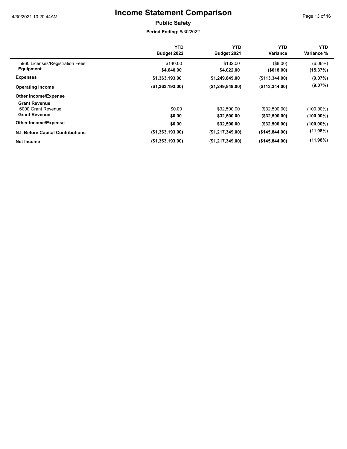Page 13 of 16

### **Public Safety**

|                                                                    | <b>YTD</b><br>Budget 2022 | YTD<br>Budget 2021         | <b>YTD</b><br>Variance         | YTD.<br>Variance %           |
|--------------------------------------------------------------------|---------------------------|----------------------------|--------------------------------|------------------------------|
| 5960 Licenses/Registration Fees<br>Equipment                       | \$140.00<br>\$4,640.00    | \$132.00<br>\$4,022.00     | (\$8.00)<br>( \$618.00)        | $(6.06\%)$<br>(15.37%)       |
| <b>Expenses</b>                                                    | \$1,363,193.00            | \$1,249,849.00             | (\$113,344.00)                 | (9.07%)                      |
| <b>Operating Income</b>                                            | (\$1,363,193.00)          | (\$1,249,849.00)           | (\$113,344.00)                 | (9.07%)                      |
| <b>Other Income/Expense</b>                                        |                           |                            |                                |                              |
| <b>Grant Revenue</b><br>6000 Grant Revenue<br><b>Grant Revenue</b> | \$0.00<br>\$0.00          | \$32,500.00<br>\$32,500.00 | (\$32,500.00)<br>(\$32,500.00) | $(100.00\%)$<br>$(100.00\%)$ |
| <b>Other Income/Expense</b>                                        | \$0.00                    | \$32,500.00                | (\$32,500.00)                  | $(100.00\%)$                 |
| <b>N.I. Before Capital Contributions</b>                           | (\$1,363,193.00)          | (\$1,217,349.00)           | (\$145,844.00)                 | $(11.98\%)$                  |
| <b>Net Income</b>                                                  | (\$1,363,193.00)          | (\$1,217,349.00)           | (\$145,844.00)                 | $(11.98\%)$                  |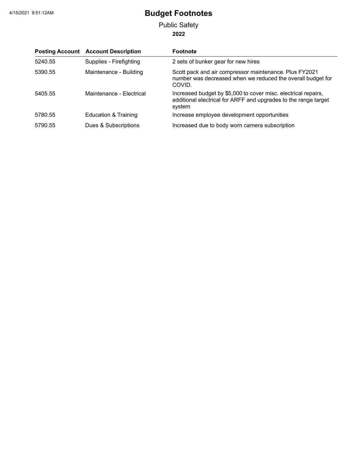**2022** Public Safety

|         | <b>Posting Account Account Description</b> | <b>Footnote</b>                                                                                                                             |
|---------|--------------------------------------------|---------------------------------------------------------------------------------------------------------------------------------------------|
| 5240.55 | Supplies - Firefighting                    | 2 sets of bunker gear for new hires                                                                                                         |
| 5390.55 | Maintenance - Building                     | Scott pack and air compressor maintenance. Plus FY2021<br>number was decreased when we reduced the overall budget for<br>COVID.             |
| 5405.55 | Maintenance - Electrical                   | Increased budget by \$5,000 to cover misc. electrical repairs,<br>additional electrical for ARFF and upgrades to the range target<br>system |
| 5780.55 | Education & Training                       | Increase employee development opportunities                                                                                                 |
| 5790.55 | Dues & Subscriptions                       | Increased due to body worn camera subscription                                                                                              |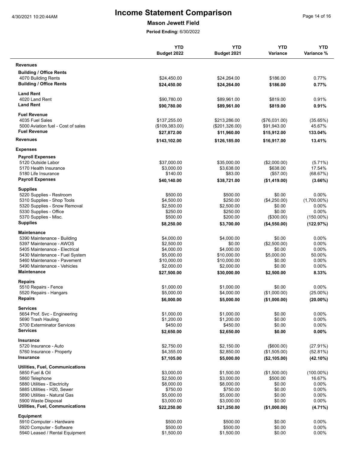#### **Mason Jewett Field**

|                                        | <b>YTD</b><br>Budget 2022 | <b>YTD</b><br>Budget 2021 | <b>YTD</b><br><b>Variance</b> | <b>YTD</b><br>Variance % |
|----------------------------------------|---------------------------|---------------------------|-------------------------------|--------------------------|
| <b>Revenues</b>                        |                           |                           |                               |                          |
| <b>Building / Office Rents</b>         |                           |                           |                               |                          |
| 4070 Building Rents                    | \$24,450.00               | \$24,264.00               | \$186.00                      | 0.77%                    |
| <b>Building / Office Rents</b>         | \$24,450.00               | \$24,264.00               | \$186.00                      | 0.77%                    |
| <b>Land Rent</b>                       |                           |                           |                               |                          |
| 4020 Land Rent                         | \$90,780.00               | \$89,961.00               | \$819.00                      | 0.91%                    |
| <b>Land Rent</b>                       | \$90,780.00               | \$89,961.00               | \$819.00                      | 0.91%                    |
| <b>Fuel Revenue</b>                    |                           |                           |                               |                          |
| 4035 Fuel Sales                        | \$137.255.00              | \$213,286.00              | (\$76,031.00)                 | (35.65%)                 |
| 5000 Aviation fuel - Cost of sales     | (\$109,383.00)            | (\$201,326.00)            | \$91,943.00                   | 45.67%                   |
| <b>Fuel Revenue</b>                    | \$27,872.00               | \$11,960.00               | \$15,912.00                   | 133.04%                  |
| <b>Revenues</b>                        | \$143,102.00              | \$126,185.00              | \$16,917.00                   | 13.41%                   |
| <b>Expenses</b>                        |                           |                           |                               |                          |
| <b>Payroll Expenses</b>                |                           |                           |                               |                          |
| 5120 Outside Labor                     | \$37,000.00               | \$35,000.00               | (\$2,000.00)                  | $(5.71\%)$               |
| 5170 Health Insurance                  | \$3,000.00                | \$3,638.00                | \$638.00                      | 17.54%                   |
| 5180 Life Insurance                    | \$140.00                  | \$83.00                   | (\$57.00)                     | (68.67%)                 |
| <b>Payroll Expenses</b>                | \$40,140.00               | \$38,721.00               | (\$1,419.00)                  | $(3.66\%)$               |
| <b>Supplies</b>                        |                           |                           |                               |                          |
| 5220 Supplies - Restroom               | \$500.00                  | \$500.00                  | \$0.00                        | 0.00%                    |
| 5310 Supplies - Shop Tools             | \$4,500.00                | \$250.00                  | (\$4,250.00)                  | $(1,700.00\%)$           |
| 5320 Supplies - Snow Removal           | \$2,500.00                | \$2,500.00                | \$0.00                        | $0.00\%$                 |
| 5330 Supplies - Office                 | \$250.00                  | \$250.00                  | \$0.00                        | 0.00%                    |
| 5370 Supplies - Misc.                  | \$500.00                  | \$200.00                  | (\$300.00)                    | $(150.00\%)$             |
| <b>Supplies</b>                        | \$8,250.00                | \$3,700.00                | (\$4,550.00)                  | (122.97%)                |
| Maintenance                            |                           |                           |                               |                          |
| 5390 Maintenance - Building            | \$4,000.00                | \$4,000.00                | \$0.00                        | $0.00\%$                 |
| 5397 Maintenance - AWOS                | \$2,500.00                | \$0.00                    | (\$2,500.00)                  | $0.00\%$                 |
| 5405 Maintenance - Electrical          | \$4,000.00                | \$4,000.00                | \$0.00                        | $0.00\%$                 |
| 5430 Maintenance - Fuel System         | \$5,000.00                | \$10,000.00               | \$5,000.00                    | 50.00%                   |
| 5460 Maintenance - Pavement            | \$10,000.00               | \$10,000.00               | \$0.00                        | 0.00%                    |
| 5490 Maintenance - Vehicles            | \$2,000.00                | \$2,000.00                | \$0.00                        | $0.00\%$                 |
| <b>Maintenance</b>                     | \$27,500.00               | \$30,000.00               | \$2,500.00                    | 8.33%                    |
| <b>Repairs</b>                         |                           |                           |                               |                          |
| 5510 Repairs - Fence                   | \$1,000.00                | \$1,000.00                | \$0.00                        | $0.00\%$                 |
| 5520 Repairs - Hangars                 | \$5,000.00                | \$4,000.00                | (\$1,000.00)                  | $(25.00\%)$              |
| Repairs                                | \$6,000.00                | \$5,000.00                | (\$1,000.00)                  | $(20.00\%)$              |
| <b>Services</b>                        |                           |                           |                               |                          |
| 5654 Prof. Svc - Engineering           | \$1,000.00                | \$1,000.00                | \$0.00                        | 0.00%                    |
| 5690 Trash Hauling                     | \$1,200.00                | \$1,200.00                | \$0.00                        | $0.00\%$                 |
| 5700 Exterminator Services             | \$450.00                  | \$450.00                  | \$0.00                        | 0.00%                    |
| Services                               | \$2,650.00                | \$2,650.00                | \$0.00                        | 0.00%                    |
| <b>Insurance</b>                       |                           |                           |                               |                          |
| 5720 Insurance - Auto                  | \$2,750.00                | \$2,150.00                | (\$600.00)                    | (27.91%)                 |
| 5760 Insurance - Property              | \$4,355.00                | \$2,850.00                | (\$1,505.00)                  | (52.81%)                 |
| Insurance                              | \$7,105.00                | \$5,000.00                | (\$2,105.00)                  | $(42.10\%)$              |
| <b>Utilities, Fuel, Communications</b> |                           |                           |                               |                          |
| 5850 Fuel & Oil                        | \$3,000.00                | \$1,500.00                | (\$1,500.00)                  | (100.00%)                |
| 5860 Telephone                         | \$2,500.00                | \$3,000.00                | \$500.00                      | 16.67%                   |
| 5880 Utilities - Electricity           | \$8,000.00                | \$8,000.00                | \$0.00                        | $0.00\%$                 |
| 5885 Utilities - H20, Sewer            | \$750.00                  | \$750.00                  | \$0.00                        | 0.00%                    |
| 5890 Utilities - Natural Gas           | \$5,000.00                | \$5,000.00                | \$0.00                        | 0.00%                    |
| 5900 Waste Disposal                    | \$3,000.00                | \$3,000.00                | \$0.00                        | 0.00%                    |
| Utilities, Fuel, Communications        | \$22,250.00               | \$21,250.00               | (\$1,000.00)                  | $(4.71\%)$               |
| <b>Equipment</b>                       |                           |                           |                               |                          |
| 5910 Computer - Hardware               | \$500.00                  | \$500.00                  | \$0.00                        | $0.00\%$                 |
| 5920 Computer - Software               | \$500.00                  | \$500.00                  | \$0.00                        | $0.00\%$                 |
| 5940 Leased / Rental Equipment         | \$1,500.00                | \$1,500.00                | \$0.00                        | 0.00%                    |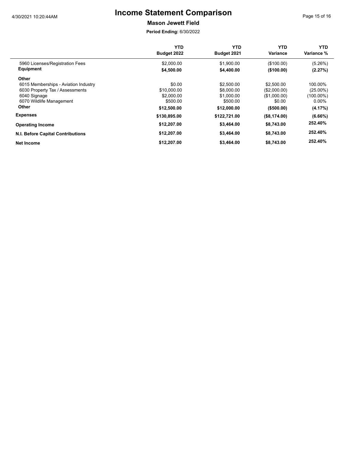**Mason Jewett Field**

|                                      | YTD<br>Budget 2022 | YTD<br>Budget 2021 | YTD<br>Variance | YTD.<br>Variance % |
|--------------------------------------|--------------------|--------------------|-----------------|--------------------|
| 5960 Licenses/Registration Fees      | \$2,000.00         | \$1,900.00         | (\$100.00)      | (5.26%)            |
| Equipment                            | \$4,500.00         | \$4,400.00         | (\$100.00)      | (2.27%)            |
| Other                                |                    |                    |                 |                    |
| 6015 Memberships - Aviation Industry | \$0.00             | \$2,500.00         | \$2,500.00      | 100.00%            |
| 6030 Property Tax / Assessments      | \$10,000.00        | \$8,000.00         | (\$2,000.00)    | $(25.00\%)$        |
| 6040 Signage                         | \$2,000.00         | \$1,000.00         | (\$1,000.00)    | (100.00%)          |
| 6070 Wildlife Management             | \$500.00           | \$500.00           | \$0.00          | $0.00\%$           |
| Other                                | \$12,500.00        | \$12,000.00        | $($ \$500.00)   | (4.17%)            |
| <b>Expenses</b>                      | \$130,895.00       | \$122,721.00       | (\$8,174.00)    | (6.66%)            |
| <b>Operating Income</b>              | \$12,207.00        | \$3,464.00         | \$8,743.00      | 252.40%            |
| N.I. Before Capital Contributions    | \$12,207.00        | \$3,464.00         | \$8,743.00      | 252.40%            |
| Net Income                           | \$12,207.00        | \$3,464.00         | \$8,743.00      | 252.40%            |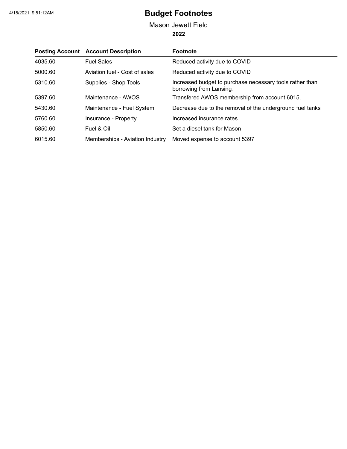### **2022** Mason Jewett Field

|         | <b>Posting Account Account Description</b> | <b>Footnote</b>                                                                     |
|---------|--------------------------------------------|-------------------------------------------------------------------------------------|
| 4035.60 | <b>Fuel Sales</b>                          | Reduced activity due to COVID                                                       |
| 5000.60 | Aviation fuel - Cost of sales              | Reduced activity due to COVID                                                       |
| 5310.60 | Supplies - Shop Tools                      | Increased budget to purchase necessary tools rather than<br>borrowing from Lansing. |
| 5397.60 | Maintenance - AWOS                         | Transfered AWOS membership from account 6015.                                       |
| 5430.60 | Maintenance - Fuel System                  | Decrease due to the removal of the underground fuel tanks                           |
| 5760.60 | Insurance - Property                       | Increased insurance rates                                                           |
| 5850.60 | Fuel & Oil                                 | Set a diesel tank for Mason                                                         |
| 6015.60 | Memberships - Aviation Industry            | Moved expense to account 5397                                                       |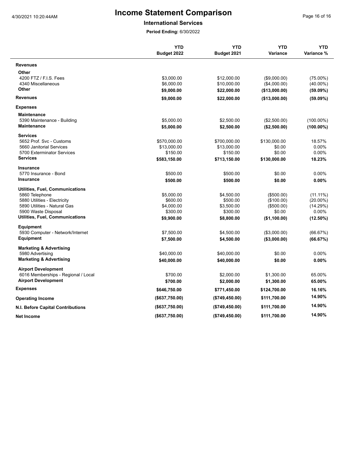#### **International Services**

|                                          | <b>YTD</b><br>Budget 2022 | <b>YTD</b><br>Budget 2021 | <b>YTD</b><br>Variance | <b>YTD</b><br>Variance % |
|------------------------------------------|---------------------------|---------------------------|------------------------|--------------------------|
| <b>Revenues</b>                          |                           |                           |                        |                          |
| Other                                    |                           |                           |                        |                          |
| 4200 FTZ / F.I.S. Fees                   | \$3,000.00                | \$12,000.00               | (\$9,000.00)           | $(75.00\%)$              |
| 4340 Miscellaneous                       | \$6,000.00                | \$10,000.00               | (\$4,000.00)           | $(40.00\%)$              |
| Other                                    | \$9,000.00                | \$22,000.00               | (\$13,000.00)          | (59.09%)                 |
| <b>Revenues</b>                          | \$9,000.00                | \$22,000.00               | (\$13,000.00)          | $(59.09\%)$              |
| <b>Expenses</b>                          |                           |                           |                        |                          |
| <b>Maintenance</b>                       |                           |                           |                        |                          |
| 5390 Maintenance - Building              | \$5,000.00                | \$2,500.00                | (\$2,500.00)           | $(100.00\%)$             |
| <b>Maintenance</b>                       | \$5,000.00                | \$2,500.00                | (\$2,500.00)           | $(100.00\%)$             |
| <b>Services</b>                          |                           |                           |                        |                          |
| 5652 Prof. Svc - Customs                 | \$570,000.00              | \$700,000.00              | \$130,000.00           | 18.57%                   |
| 5660 Janitorial Services                 | \$13,000.00               | \$13,000.00               | \$0.00                 | 0.00%                    |
| 5700 Exterminator Services               | \$150.00                  | \$150.00                  | \$0.00                 | 0.00%                    |
| <b>Services</b>                          | \$583,150.00              | \$713,150.00              | \$130,000.00           | 18.23%                   |
| <b>Insurance</b>                         |                           |                           |                        |                          |
| 5770 Insurance - Bond                    | \$500.00                  | \$500.00                  | \$0.00                 | 0.00%                    |
| <b>Insurance</b>                         | \$500.00                  | \$500.00                  | \$0.00                 | 0.00%                    |
| Utilities, Fuel, Communications          |                           |                           |                        |                          |
| 5860 Telephone                           | \$5,000.00                | \$4,500.00                | (\$500.00)             | $(11.11\%)$              |
| 5880 Utilities - Electricity             | \$600.00                  | \$500.00                  | (\$100.00)             | $(20.00\%)$              |
| 5890 Utilities - Natural Gas             | \$4,000.00                | \$3,500.00                | (\$500.00)             | (14.29%)                 |
| 5900 Waste Disposal                      | \$300.00                  | \$300.00                  | \$0.00                 | $0.00\%$                 |
| <b>Utilities, Fuel, Communications</b>   | \$9,900.00                | \$8,800.00                | (\$1,100.00)           | $(12.50\%)$              |
| Equipment                                |                           |                           |                        |                          |
| 5930 Computer - Network/Internet         | \$7,500.00                | \$4,500.00                | (\$3,000.00)           | (66.67%)                 |
| Equipment                                | \$7,500.00                | \$4,500.00                | (\$3,000.00)           | (66.67%)                 |
| <b>Marketing &amp; Advertising</b>       |                           |                           |                        |                          |
| 5980 Advertising                         | \$40,000.00               | \$40,000.00               | \$0.00                 | 0.00%                    |
| <b>Marketing &amp; Advertising</b>       | \$40,000.00               | \$40,000.00               | \$0.00                 | 0.00%                    |
| <b>Airport Development</b>               |                           |                           |                        |                          |
| 6016 Memberships - Regional / Local      | \$700.00                  | \$2,000.00                | \$1,300.00             | 65.00%                   |
| <b>Airport Development</b>               | \$700.00                  | \$2,000.00                | \$1,300.00             | 65.00%                   |
| <b>Expenses</b>                          | \$646,750.00              | \$771,450.00              | \$124,700.00           | 16.16%                   |
| <b>Operating Income</b>                  | (\$637,750.00)            | (\$749, 450.00)           | \$111,700.00           | 14.90%                   |
| <b>N.I. Before Capital Contributions</b> | (\$637,750.00)            | (\$749, 450.00)           | \$111,700.00           | 14.90%                   |
| <b>Net Income</b>                        | (\$637,750.00)            | (\$749,450.00)            | \$111,700.00           | 14.90%                   |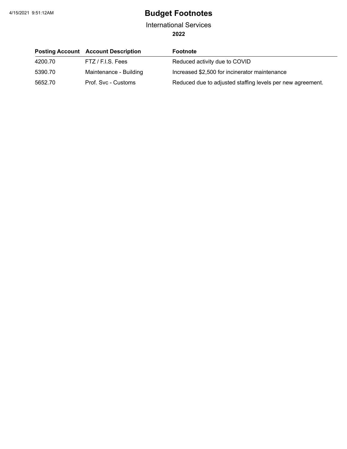**2022** International Services

|         | <b>Posting Account Account Description</b> | <b>Footnote</b>                                            |
|---------|--------------------------------------------|------------------------------------------------------------|
| 4200.70 | FTZ / F.I.S. Fees                          | Reduced activity due to COVID                              |
| 5390.70 | Maintenance - Building                     | Increased \$2,500 for incinerator maintenance              |
| 5652.70 | Prof. Svc - Customs                        | Reduced due to adjusted staffing levels per new agreement. |

L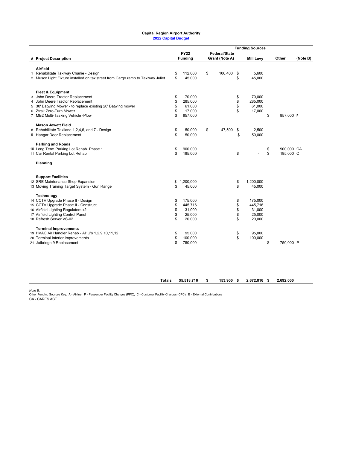#### **Capital Region Airport Authority 2022 Capital Budget**

|              |                                                                                  |               |                               | <b>Funding Sources</b> |                                        |          |                  |                  |          |
|--------------|----------------------------------------------------------------------------------|---------------|-------------------------------|------------------------|----------------------------------------|----------|------------------|------------------|----------|
|              | # Project Description                                                            |               | <b>FY22</b><br><b>Funding</b> |                        | <b>Federal/State</b><br>Grant (Note A) |          | <b>Mill Levy</b> | Other            | (Note B) |
|              | Airfield                                                                         |               |                               |                        |                                        |          |                  |                  |          |
| $\mathbf{1}$ | Rehabilitate Taxiway Charlie - Design                                            | \$            | 112,000                       | \$                     | 106,400                                | \$       | 5,600            |                  |          |
|              | 2 Musco Light Fixture installed on taxistreet from Cargo ramp to Taxiway Juliet  | \$            | 45,000                        |                        |                                        | \$       | 45,000           |                  |          |
|              | <b>Fleet &amp; Equipment</b>                                                     |               |                               |                        |                                        |          |                  |                  |          |
|              | 3 John Deere Tractor Replacement                                                 | \$            | 70,000                        |                        |                                        | \$       | 70,000           |                  |          |
| 4            | John Deere Tractor Replacement                                                   | \$            | 285,000                       |                        |                                        | \$       | 285,000          |                  |          |
|              | 5 30' Batwing Mower - to replace existing 20' Batwing mower                      | \$            | 61,000                        |                        |                                        | \$       | 61,000           |                  |          |
| 6            | Ztrak Zero-Turn Mower                                                            | \$            | 17,000                        |                        |                                        | \$       | 17,000           |                  |          |
|              | 7 MB2 Multi-Tasking Vehicle -Plow                                                | \$            | 857,000                       |                        |                                        |          |                  | \$<br>857,000 P  |          |
|              | <b>Mason Jewett Field</b>                                                        |               |                               |                        |                                        |          |                  |                  |          |
| 8            | Rehabilitate Taxilane 1,2,4,6, and 7 - Design                                    | \$<br>\$      | 50,000                        | \$                     | 47,500                                 | \$<br>\$ | 2,500            |                  |          |
|              | 9 Hangar Door Replacement                                                        |               | 50,000                        |                        |                                        |          | 50,000           |                  |          |
|              | <b>Parking and Roads</b>                                                         |               |                               |                        |                                        |          |                  |                  |          |
|              | 10 Long Term Parking Lot Rehab. Phase 1                                          | \$            | 900.000                       |                        |                                        |          |                  | \$<br>900.000 CA |          |
|              | 11 Car Rental Parking Lot Rehab                                                  | \$            | 185,000                       |                        |                                        | \$       |                  | \$<br>185,000 C  |          |
|              | Planning                                                                         |               |                               |                        |                                        |          |                  |                  |          |
|              | <b>Support Facilities</b>                                                        |               |                               |                        |                                        |          |                  |                  |          |
|              | 12 SRE Maintenance Shop Expansion                                                | \$            | 1,200,000                     |                        |                                        | \$       | 1,200,000        |                  |          |
|              | 13 Moving Training Target System - Gun Range                                     | \$            | 45,000                        |                        |                                        | \$       | 45,000           |                  |          |
|              | Technology                                                                       |               |                               |                        |                                        |          |                  |                  |          |
|              | 14 CCTV Upgrade Phase II - Design                                                | \$            | 175,000                       |                        |                                        | \$       | 175,000          |                  |          |
|              | 15 CCTV Upgrade Phase II - Construct                                             | \$            | 445,716                       |                        |                                        | \$       | 445,716          |                  |          |
|              | 16 Airfield Lighting Regulators x2<br>17 Airfield Lighting Control Panel         | \$<br>\$      | 31,000<br>25,000              |                        |                                        | \$<br>\$ | 31,000<br>25,000 |                  |          |
|              | 18 Refresh Server VS-02                                                          | \$            | 20,000                        |                        |                                        | \$       | 20,000           |                  |          |
|              |                                                                                  |               |                               |                        |                                        |          |                  |                  |          |
|              | <b>Terminal Improvements</b><br>19 HVAC Air Handler Rehab - AHU's 1,2,9,10,11,12 | \$            | 95,000                        |                        |                                        | \$       | 95,000           |                  |          |
|              | 20 Terminal Interior Improvements                                                | \$            | 100,000                       |                        |                                        | \$       | 100,000          |                  |          |
|              | 21 Jetbridge 9 Replacement                                                       | \$            | 750,000                       |                        |                                        |          |                  | \$<br>750,000 P  |          |
|              |                                                                                  |               |                               |                        |                                        |          |                  |                  |          |
|              |                                                                                  |               |                               |                        |                                        |          |                  |                  |          |
|              |                                                                                  |               |                               |                        |                                        |          |                  |                  |          |
|              |                                                                                  |               |                               |                        |                                        |          |                  |                  |          |
|              |                                                                                  | <b>Totals</b> | \$5,518,716                   | \$                     | 153,900                                | \$       | 2,672,816        | \$<br>2,692,000  |          |

*Note B:*<br>Other Funding Sources Key: A - Airline; P - Passenger Facility Charges (PFC); C - Customer Facility Charges (CFC); E - External Contributions<br>CA - CARES ACT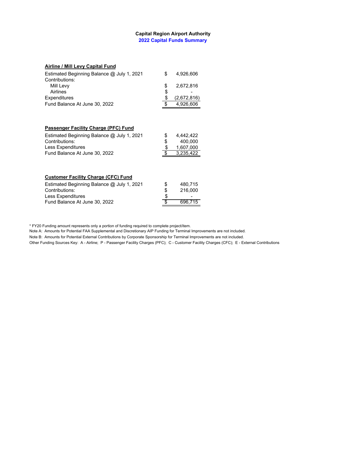#### **Capital Region Airport Authority 2022 Capital Funds Summary**

#### **Airline / Mill Levy Capital Fund**

| Estimated Beginning Balance @ July 1, 2021<br>Contributions: | \$       | 4,926,606   |
|--------------------------------------------------------------|----------|-------------|
| Mill Levy                                                    | \$       | 2,672,816   |
| Airlines                                                     |          |             |
| Expenditures                                                 | \$<br>\$ | (2,672,816) |
| Fund Balance At June 30, 2022                                | \$       | 4,926,606   |
|                                                              |          |             |
| Passenger Facility Charge (PFC) Fund                         |          |             |
| Estimated Beginning Balance @ July 1, 2021                   | \$       | 4,442,422   |
| Contributions:                                               |          | 400,000     |
| Less Expenditures                                            | \$\$     | 1,607,000   |
| Fund Balance At June 30, 2022                                | \$       | 3,235,422   |
|                                                              |          |             |
| <b>Customer Facility Charge (CFC) Fund</b>                   |          |             |
| Estimated Beginning Balance @ July 1, 2021                   | \$       | 480,715     |
| Contributions:                                               |          | 216,000     |
| Less Expenditures                                            | \$       |             |
| Fund Balance At June 30, 2022                                | \$       | 696,715     |

\* FY20 Funding amount represents only a portion of funding required to complete project/item.

Note A: Amounts for Potential FAA Supplemental and Discretionary AIP Funding for Terminal Improvements are not included.

Note B: Amounts for Potential External Contributions by Corporate Sponsorship for Terminal Improvements are not included.

Other Funding Sources Key: A - Airline; P - Passenger Facility Charges (PFC); C - Customer Facility Charges (CFC); E - External Contributions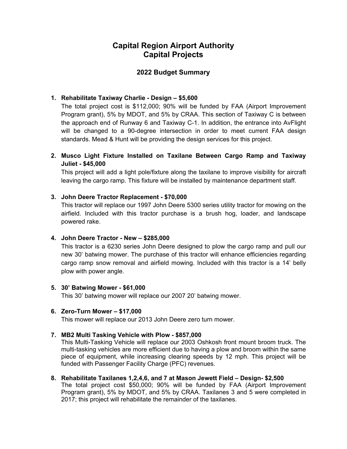### **Capital Region Airport Authority Capital Projects**

### **2022 Budget Summary**

### **1. Rehabilitate Taxiway Charlie - Design – \$5,600**

The total project cost is \$112,000; 90% will be funded by FAA (Airport Improvement Program grant), 5% by MDOT, and 5% by CRAA. This section of Taxiway C is between the approach end of Runway 6 and Taxiway C-1. In addition, the entrance into AvFlight will be changed to a 90-degree intersection in order to meet current FAA design standards. Mead & Hunt will be providing the design services for this project.

### **2. Musco Light Fixture Installed on Taxilane Between Cargo Ramp and Taxiway Juliet - \$45,000**

This project will add a light pole/fixture along the taxilane to improve visibility for aircraft leaving the cargo ramp. This fixture will be installed by maintenance department staff.

#### **3. John Deere Tractor Replacement - \$70,000**

This tractor will replace our 1997 John Deere 5300 series utility tractor for mowing on the airfield. Included with this tractor purchase is a brush hog, loader, and landscape powered rake.

#### **4. John Deere Tractor - New – \$285,000**

This tractor is a 6230 series John Deere designed to plow the cargo ramp and pull our new 30' batwing mower. The purchase of this tractor will enhance efficiencies regarding cargo ramp snow removal and airfield mowing. Included with this tractor is a 14' belly plow with power angle.

#### **5. 30' Batwing Mower - \$61,000**

This 30' batwing mower will replace our 2007 20' batwing mower.

#### **6. Zero-Turn Mower – \$17,000**

This mower will replace our 2013 John Deere zero turn mower.

#### **7. MB2 Multi Tasking Vehicle with Plow - \$857,000**

This Multi-Tasking Vehicle will replace our 2003 Oshkosh front mount broom truck. The multi-tasking vehicles are more efficient due to having a plow and broom within the same piece of equipment, while increasing clearing speeds by 12 mph. This project will be funded with Passenger Facility Charge (PFC) revenues.

#### **8. Rehabilitate Taxilanes 1,2,4,6, and 7 at Mason Jewett Field – Design- \$2,500**

The total project cost \$50,000; 90% will be funded by FAA (Airport Improvement Program grant), 5% by MDOT, and 5% by CRAA. Taxilanes 3 and 5 were completed in 2017; this project will rehabilitate the remainder of the taxilanes.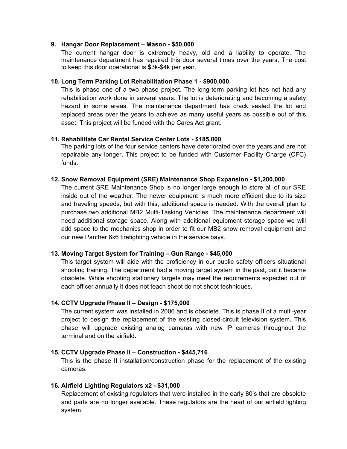#### **9. Hangar Door Replacement – Mason - \$50,000**

The current hangar door is extremely heavy, old and a liability to operate. The maintenance department has repaired this door several times over the years. The cost to keep this door operational is \$3k-\$4k per year.

#### **10. Long Term Parking Lot Rehabilitation Phase 1 - \$900,000**

This is phase one of a two phase project. The long-term parking lot has not had any rehabilitation work done in several years. The lot is deteriorating and becoming a safety hazard in some areas. The maintenance department has crack sealed the lot and replaced areas over the years to achieve as many useful years as possible out of this asset. This project will be funded with the Cares Act grant.

#### **11. Rehabilitate Car Rental Service Center Lots - \$185,000**

The parking lots of the four service centers have deteriorated over the years and are not repairable any longer. This project to be funded with Customer Facility Charge (CFC) funds.

#### **12. Snow Removal Equipment (SRE) Maintenance Shop Expansion - \$1,200,000**

The current SRE Maintenance Shop is no longer large enough to store all of our SRE inside out of the weather. The newer equipment is much more efficient due to its size and traveling speeds, but with this, additional space is needed. With the overall plan to purchase two additional MB2 Multi-Tasking Vehicles. The maintenance department will need additional storage space. Along with additional equipment storage space we will add space to the mechanics shop in order to fit our MB2 snow removal equipment and our new Panther 6x6 firefighting vehicle in the service bays.

#### **13. Moving Target System for Training – Gun Range - \$45,000**

This target system will aide with the proficiency in our public safety officers situational shooting training. The department had a moving target system in the past, but it became obsolete. While shooting stationary targets may meet the requirements expected out of each officer annually it does not teach shoot do not shoot techniques.

#### **14. CCTV Upgrade Phase II – Design - \$175,000**

The current system was installed in 2006 and is obsolete. This is phase II of a multi-year project to design the replacement of the existing closed-circuit television system. This phase will upgrade existing analog cameras with new IP cameras throughout the terminal and on the airfield.

#### **15. CCTV Upgrade Phase II – Construction - \$445,716**

This is the phase II installation/construction phase for the replacement of the existing cameras.

#### **16. Airfield Lighting Regulators x2 - \$31,000**

Replacement of existing regulators that were installed in the early 80's that are obsolete and parts are no longer available. These regulators are the heart of our airfield lighting system.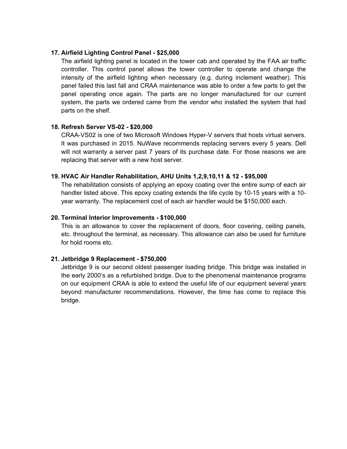#### **17. Airfield Lighting Control Panel - \$25,000**

The airfield lighting panel is located in the tower cab and operated by the FAA air traffic controller. This control panel allows the tower controller to operate and change the intensity of the airfield lighting when necessary (e.g. during inclement weather). This panel failed this last fall and CRAA maintenance was able to order a few parts to get the panel operating once again. The parts are no longer manufactured for our current system, the parts we ordered came from the vendor who installed the system that had parts on the shelf.

#### **18. Refresh Server VS-02 - \$20,000**

CRAA-VS02 is one of two Microsoft Windows Hyper-V servers that hosts virtual servers. It was purchased in 2015. NuWave recommends replacing servers every 5 years. Dell will not warranty a server past 7 years of its purchase date. For those reasons we are replacing that server with a new host server.

#### **19. HVAC Air Handler Rehabilitation, AHU Units 1,2,9,10,11 & 12 - \$95,000**

The rehabilitation consists of applying an epoxy coating over the entire sump of each air handler listed above. This epoxy coating extends the life cycle by 10-15 years with a 10 year warranty. The replacement cost of each air handler would be \$150,000 each.

#### **20. Terminal Interior Improvements - \$100,000**

This is an allowance to cover the replacement of doors, floor covering, ceiling panels, etc. throughout the terminal, as necessary. This allowance can also be used for furniture for hold rooms etc.

#### **21. Jetbridge 9 Replacement - \$750,000**

Jetbridge 9 is our second oldest passenger loading bridge. This bridge was installed in the early 2000's as a refurbished bridge. Due to the phenomenal maintenance programs on our equipment CRAA is able to extend the useful life of our equipment several years beyond manufacturer recommendations. However, the time has come to replace this bridge.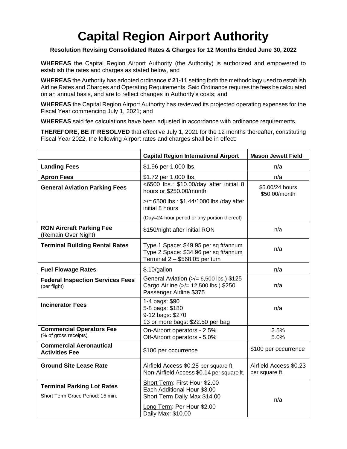#### **Resolution Revising Consolidated Rates & Charges for 12 Months Ended June 30, 2022**

**WHEREAS** the Capital Region Airport Authority (the Authority) is authorized and empowered to establish the rates and charges as stated below, and

**WHEREAS** the Authority has adopted ordinance **# 21-11** setting forth the methodology used to establish Airline Rates and Charges and Operating Requirements. Said Ordinance requires the fees be calculated on an annual basis, and are to reflect changes in Authority's costs; and

**WHEREAS** the Capital Region Airport Authority has reviewed its projected operating expenses for the Fiscal Year commencing July 1, 2021; and

**WHEREAS** said fee calculations have been adjusted in accordance with ordinance requirements.

**THEREFORE, BE IT RESOLVED** that effective July 1, 2021 for the 12 months thereafter, constituting Fiscal Year 2022, the following Airport rates and charges shall be in effect:

|                                                                       | <b>Capital Region International Airport</b>                                                                                                      | <b>Mason Jewett Field</b>                |
|-----------------------------------------------------------------------|--------------------------------------------------------------------------------------------------------------------------------------------------|------------------------------------------|
| <b>Landing Fees</b>                                                   | \$1.96 per 1,000 lbs.                                                                                                                            | n/a                                      |
| <b>Apron Fees</b>                                                     | \$1.72 per 1,000 lbs.                                                                                                                            | n/a                                      |
| <b>General Aviation Parking Fees</b>                                  | <6500 lbs.: \$10.00/day after initial 8<br>hours or \$250.00/month                                                                               | \$5.00/24 hours<br>\$50.00/month         |
|                                                                       | >/= 6500 lbs.: \$1.44/1000 lbs./day after<br>initial 8 hours                                                                                     |                                          |
|                                                                       | (Day=24-hour period or any portion thereof)                                                                                                      |                                          |
| <b>RON Aircraft Parking Fee</b><br>(Remain Over Night)                | \$150/night after initial RON                                                                                                                    | n/a                                      |
| <b>Terminal Building Rental Rates</b>                                 | Type 1 Space: \$49.95 per sq ft/annum<br>Type 2 Space: \$34.96 per sq ft/annum<br>Terminal $2 - $568.05$ per turn                                |                                          |
| <b>Fuel Flowage Rates</b>                                             | \$.10/gallon                                                                                                                                     | n/a                                      |
| <b>Federal Inspection Services Fees</b><br>(per flight)               | General Aviation (>/= 6,500 lbs.) \$125<br>Cargo Airline (>/= 12,500 lbs.) \$250<br>Passenger Airline \$375                                      | n/a                                      |
| <b>Incinerator Fees</b>                                               | 1-4 bags: \$90<br>5-8 bags: \$180<br>9-12 bags: \$270<br>13 or more bags: \$22.50 per bag                                                        | n/a                                      |
| <b>Commercial Operators Fee</b><br>(% of gross receipts)              | On-Airport operators - 2.5%<br>Off-Airport operators - 5.0%                                                                                      | 2.5%<br>5.0%                             |
| <b>Commercial Aeronautical</b><br><b>Activities Fee</b>               | \$100 per occurrence                                                                                                                             | \$100 per occurrence                     |
| <b>Ground Site Lease Rate</b>                                         | Airfield Access \$0.28 per square ft.<br>Non-Airfield Access \$0.14 per square ft.                                                               | Airfield Access \$0.23<br>per square ft. |
| <b>Terminal Parking Lot Rates</b><br>Short Term Grace Period: 15 min. | Short Term: First Hour \$2.00<br>Each Additional Hour \$3.00<br>Short Term Daily Max \$14.00<br>Long Term: Per Hour \$2.00<br>Daily Max: \$10.00 | n/a                                      |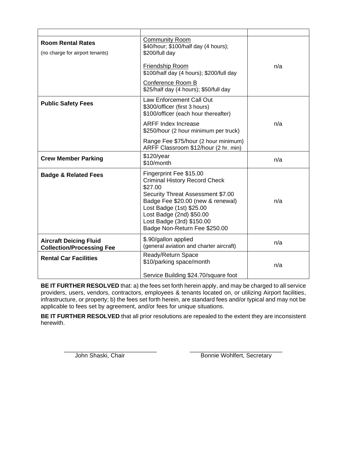| <b>Room Rental Rates</b><br>(no charge for airport tenants)       | <b>Community Room</b><br>\$40/hour; \$100/half day (4 hours);<br>\$200/full day                                                                                                                                                                                            |     |
|-------------------------------------------------------------------|----------------------------------------------------------------------------------------------------------------------------------------------------------------------------------------------------------------------------------------------------------------------------|-----|
|                                                                   | <b>Friendship Room</b><br>\$100/half day (4 hours); \$200/full day<br>Conference Room B                                                                                                                                                                                    | n/a |
|                                                                   | \$25/half day (4 hours); \$50/full day                                                                                                                                                                                                                                     |     |
| <b>Public Safety Fees</b>                                         | Law Enforcement Call Out<br>\$300/officer (first 3 hours)<br>\$100/officer (each hour thereafter)                                                                                                                                                                          |     |
|                                                                   | <b>ARFF Index Increase</b><br>\$250/hour (2 hour minimum per truck)                                                                                                                                                                                                        | n/a |
|                                                                   | Range Fee \$75/hour (2 hour minimum)<br>ARFF Classroom \$12/hour (2 hr. min)                                                                                                                                                                                               |     |
| <b>Crew Member Parking</b>                                        | \$120/year<br>\$10/month                                                                                                                                                                                                                                                   | n/a |
| <b>Badge &amp; Related Fees</b>                                   | Fingerprint Fee \$15.00<br><b>Criminal History Record Check</b><br>\$27.00<br>Security Threat Assessment \$7.00<br>Badge Fee \$20.00 (new & renewal)<br>Lost Badge (1st) \$25.00<br>Lost Badge (2nd) \$50.00<br>Lost Badge (3rd) \$150.00<br>Badge Non-Return Fee \$250.00 | n/a |
| <b>Aircraft Deicing Fluid</b><br><b>Collection/Processing Fee</b> | \$.90/gallon applied<br>(general aviation and charter aircraft)                                                                                                                                                                                                            | n/a |
| <b>Rental Car Facilities</b>                                      | Ready/Return Space<br>\$10/parking space/month                                                                                                                                                                                                                             | n/a |
|                                                                   | Service Building \$24.70/square foot                                                                                                                                                                                                                                       |     |

**BE IT FURTHER RESOLVED** that: a) the fees set forth herein apply, and may be charged to all service providers, users, vendors, contractors, employees & tenants located on, or utilizing Airport facilities, infrastructure, or property; b) the fees set forth herein, are standard fees and/or typical and may not be applicable to fees set by agreement, and/or fees for unique situations.

**BE IT FURTHER RESOLVED** that all prior resolutions are repealed to the extent they are inconsistent herewith.

\_\_\_\_\_\_\_\_\_\_\_\_\_\_\_\_\_\_\_\_\_\_\_\_\_\_\_\_ \_\_\_\_\_\_\_\_\_\_\_\_\_\_\_\_\_\_\_\_\_\_\_\_\_\_\_\_ John Shaski, Chair **Bonnie Wohlfert**, Secretary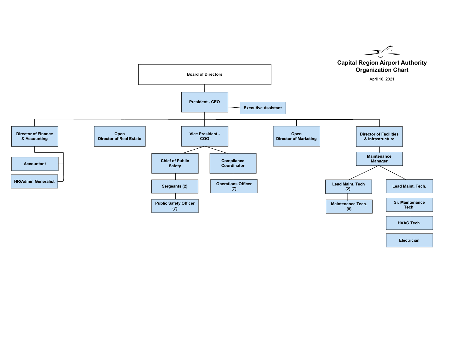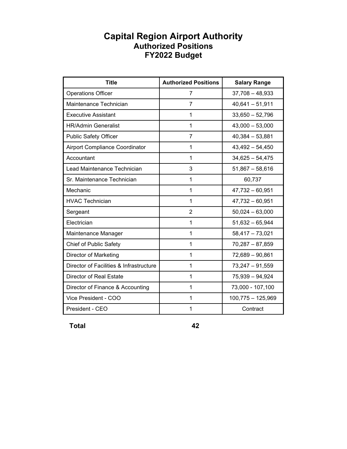### **Capital Region Airport Authority Authorized Positions FY2022 Budget**

| <b>Title</b>                            | <b>Authorized Positions</b> | <b>Salary Range</b> |
|-----------------------------------------|-----------------------------|---------------------|
| <b>Operations Officer</b>               | 7                           | $37,708 - 48,933$   |
| Maintenance Technician                  | 7                           | $40,641 - 51,911$   |
| <b>Executive Assistant</b>              | 1                           | $33,650 - 52,796$   |
| <b>HR/Admin Generalist</b>              | 1                           | $43,000 - 53,000$   |
| <b>Public Safety Officer</b>            | 7                           | $40,384 - 53,881$   |
| Airport Compliance Coordinator          | 1                           | $43,492 - 54,450$   |
| Accountant                              | 1                           | $34,625 - 54,475$   |
| Lead Maintenance Technician             | 3                           | $51,867 - 58,616$   |
| Sr. Maintenance Technician              | 1                           | 60,737              |
| Mechanic                                | $\mathbf{1}$                | $47,732 - 60,951$   |
| <b>HVAC Technician</b>                  | 1                           | $47,732 - 60,951$   |
| Sergeant                                | 2                           | $50,024 - 63,000$   |
| Electrician                             | 1                           | $51,632 - 65,944$   |
| Maintenance Manager                     | 1                           | $58,417 - 73,021$   |
| Chief of Public Safety                  | 1                           | $70,287 - 87,859$   |
| Director of Marketing                   | 1                           | 72,689 - 90,861     |
| Director of Facilities & Infrastructure | 1                           | $73,247 - 91,559$   |
| Director of Real Estate                 | 1                           | 75,939 - 94,924     |
| Director of Finance & Accounting        | 1                           | 73,000 - 107,100    |
| Vice President - COO                    | 1                           | $100,775 - 125,969$ |
| President - CEO                         | 1                           | Contract            |

 **Total 42**